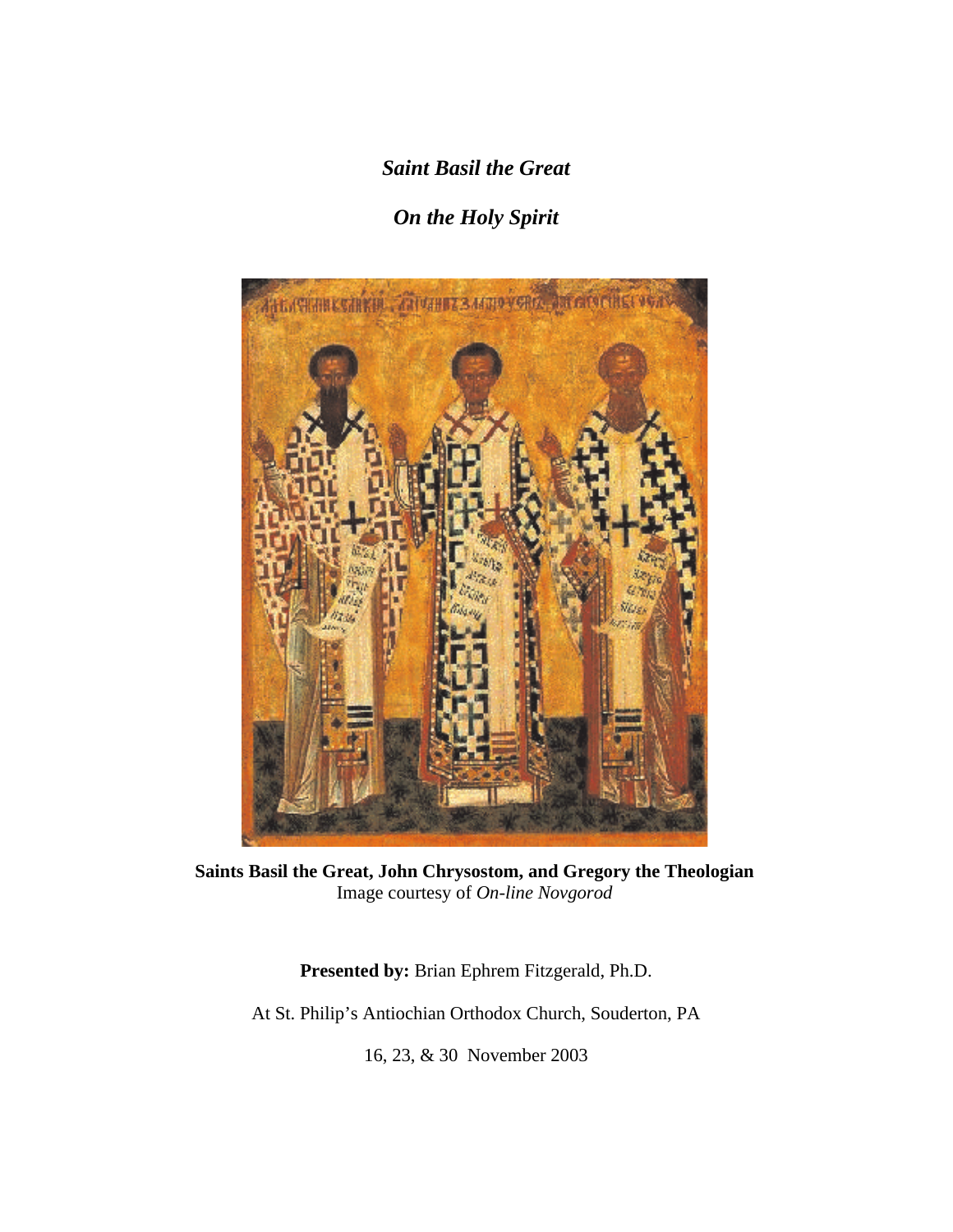*Saint Basil the Great*

*On the Holy Spirit*



**Saints Basil the Great, John Chrysostom, and Gregory the Theologian** Image courtesy of *On-line Novgorod*

**Presented by:** Brian Ephrem Fitzgerald, Ph.D.

At St. Philip's Antiochian Orthodox Church, Souderton, PA

16, 23, & 30 November 2003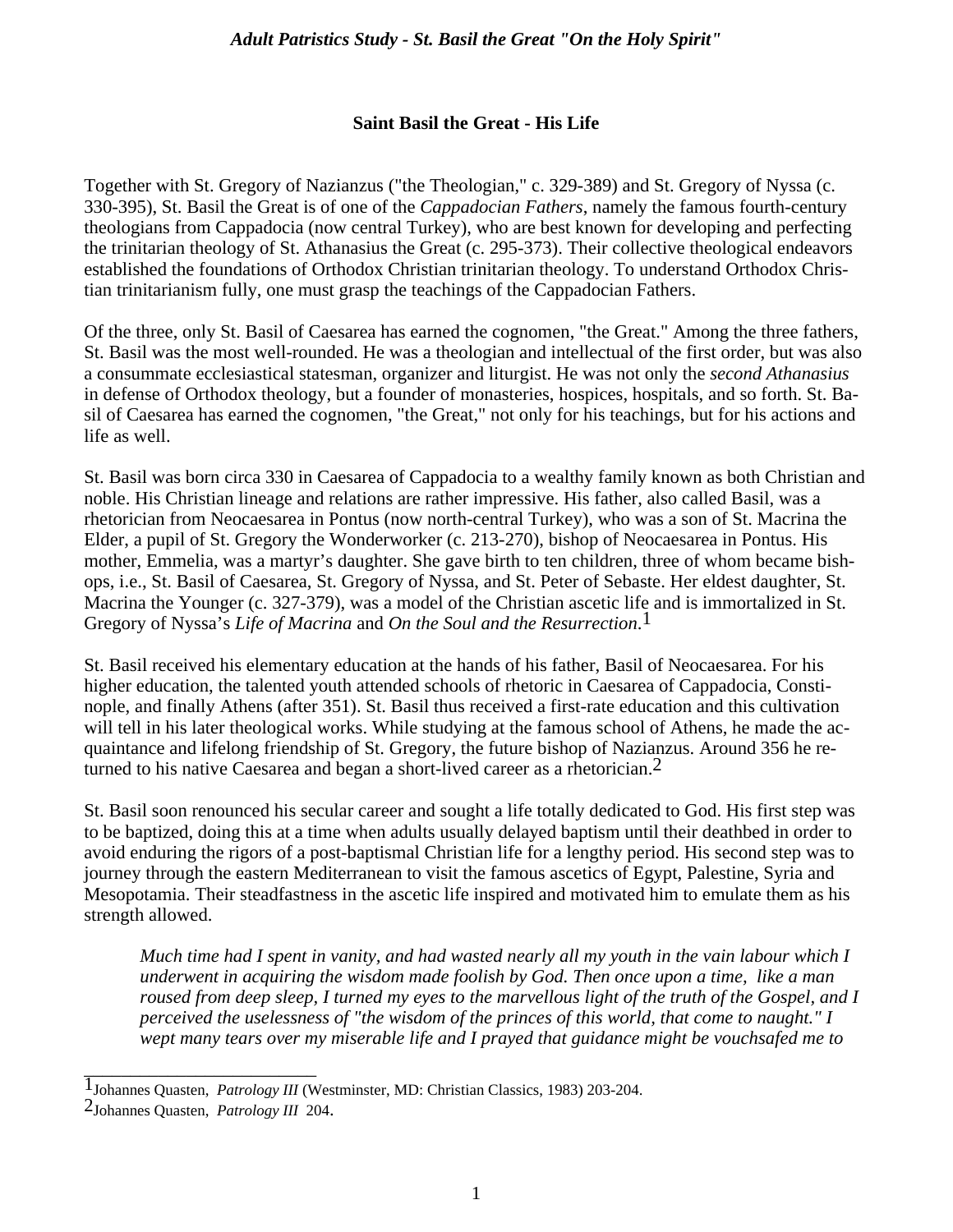# **Saint Basil the Great - His Life**

Together with St. Gregory of Nazianzus ("the Theologian," c. 329-389) and St. Gregory of Nyssa (c. 330-395), St. Basil the Great is of one of the *Cappadocian Fathers*, namely the famous fourth-century theologians from Cappadocia (now central Turkey), who are best known for developing and perfecting the trinitarian theology of St. Athanasius the Great (c. 295-373). Their collective theological endeavors established the foundations of Orthodox Christian trinitarian theology. To understand Orthodox Christian trinitarianism fully, one must grasp the teachings of the Cappadocian Fathers.

Of the three, only St. Basil of Caesarea has earned the cognomen, "the Great." Among the three fathers, St. Basil was the most well-rounded. He was a theologian and intellectual of the first order, but was also a consummate ecclesiastical statesman, organizer and liturgist. He was not only the *second Athanasius* in defense of Orthodox theology, but a founder of monasteries, hospices, hospitals, and so forth. St. Basil of Caesarea has earned the cognomen, "the Great," not only for his teachings, but for his actions and life as well.

St. Basil was born circa 330 in Caesarea of Cappadocia to a wealthy family known as both Christian and noble. His Christian lineage and relations are rather impressive. His father, also called Basil, was a rhetorician from Neocaesarea in Pontus (now north-central Turkey), who was a son of St. Macrina the Elder, a pupil of St. Gregory the Wonderworker (c. 213-270), bishop of Neocaesarea in Pontus. His mother, Emmelia, was a martyr's daughter. She gave birth to ten children, three of whom became bishops, i.e., St. Basil of Caesarea, St. Gregory of Nyssa, and St. Peter of Sebaste. Her eldest daughter, St. Macrina the Younger (c. 327-379), was a model of the Christian ascetic life and is immortalized in St. Gregory of Nyssa's *Life of Macrina* and *On the Soul and the Resurrection*.1

St. Basil received his elementary education at the hands of his father, Basil of Neocaesarea. For his higher education, the talented youth attended schools of rhetoric in Caesarea of Cappadocia, Constinople, and finally Athens (after 351). St. Basil thus received a first-rate education and this cultivation will tell in his later theological works. While studying at the famous school of Athens, he made the acquaintance and lifelong friendship of St. Gregory, the future bishop of Nazianzus. Around 356 he returned to his native Caesarea and began a short-lived career as a rhetorician.<sup>2</sup>

St. Basil soon renounced his secular career and sought a life totally dedicated to God. His first step was to be baptized, doing this at a time when adults usually delayed baptism until their deathbed in order to avoid enduring the rigors of a post-baptismal Christian life for a lengthy period. His second step was to journey through the eastern Mediterranean to visit the famous ascetics of Egypt, Palestine, Syria and Mesopotamia. Their steadfastness in the ascetic life inspired and motivated him to emulate them as his strength allowed.

*Much time had I spent in vanity, and had wasted nearly all my youth in the vain labour which I underwent in acquiring the wisdom made foolish by God. Then once upon a time, like a man roused from deep sleep, I turned my eyes to the marvellous light of the truth of the Gospel, and I perceived the uselessness of "the wisdom of the princes of this world, that come to naught." I wept many tears over my miserable life and I prayed that guidance might be vouchsafed me to* 

<sup>1</sup>Johannes Quasten, *Patrology III* (Westminster, MD: Christian Classics, 1983) 203-204.

<sup>2</sup>Johannes Quasten, *Patrology III* 204.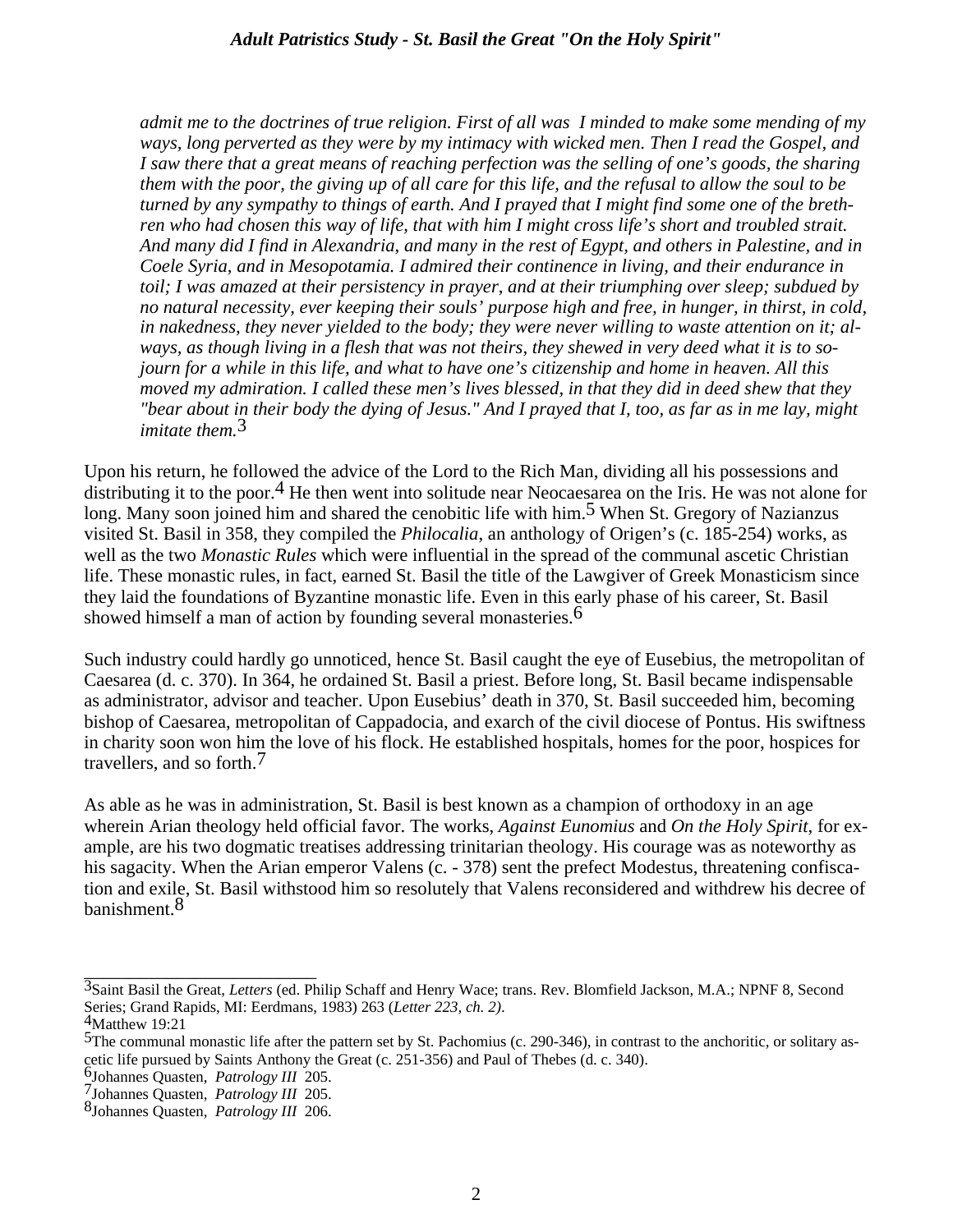*admit me to the doctrines of true religion. First of all was I minded to make some mending of my ways, long perverted as they were by my intimacy with wicked men. Then I read the Gospel, and I saw there that a great means of reaching perfection was the selling of one's goods, the sharing them with the poor, the giving up of all care for this life, and the refusal to allow the soul to be turned by any sympathy to things of earth. And I prayed that I might find some one of the brethren who had chosen this way of life, that with him I might cross life's short and troubled strait. And many did I find in Alexandria, and many in the rest of Egypt, and others in Palestine, and in Coele Syria, and in Mesopotamia. I admired their continence in living, and their endurance in toil; I was amazed at their persistency in prayer, and at their triumphing over sleep; subdued by no natural necessity, ever keeping their souls' purpose high and free, in hunger, in thirst, in cold, in nakedness, they never yielded to the body; they were never willing to waste attention on it; always, as though living in a flesh that was not theirs, they shewed in very deed what it is to sojourn for a while in this life, and what to have one's citizenship and home in heaven. All this moved my admiration. I called these men's lives blessed, in that they did in deed shew that they "bear about in their body the dying of Jesus." And I prayed that I, too, as far as in me lay, might imitate them.*3

Upon his return, he followed the advice of the Lord to the Rich Man, dividing all his possessions and distributing it to the poor.<sup>4</sup> He then went into solitude near Neocaesarea on the Iris. He was not alone for long. Many soon joined him and shared the cenobitic life with him.<sup>5</sup> When St. Gregory of Nazianzus visited St. Basil in 358, they compiled the *Philocalia*, an anthology of Origen's (c. 185-254) works, as well as the two *Monastic Rules* which were influential in the spread of the communal ascetic Christian life. These monastic rules, in fact, earned St. Basil the title of the Lawgiver of Greek Monasticism since they laid the foundations of Byzantine monastic life. Even in this early phase of his career, St. Basil showed himself a man of action by founding several monasteries.<sup>6</sup>

Such industry could hardly go unnoticed, hence St. Basil caught the eye of Eusebius, the metropolitan of Caesarea (d. c. 370). In 364, he ordained St. Basil a priest. Before long, St. Basil became indispensable as administrator, advisor and teacher. Upon Eusebius' death in 370, St. Basil succeeded him, becoming bishop of Caesarea, metropolitan of Cappadocia, and exarch of the civil diocese of Pontus. His swiftness in charity soon won him the love of his flock. He established hospitals, homes for the poor, hospices for travellers, and so forth.7

As able as he was in administration, St. Basil is best known as a champion of orthodoxy in an age wherein Arian theology held official favor. The works, *Against Eunomius* and *On the Holy Spirit*, for example, are his two dogmatic treatises addressing trinitarian theology. His courage was as noteworthy as his sagacity. When the Arian emperor Valens (c. - 378) sent the prefect Modestus, threatening confiscation and exile, St. Basil withstood him so resolutely that Valens reconsidered and withdrew his decree of banishment.8

 $\overline{\phantom{a}}$  , which is a set of the set of the set of the set of the set of the set of the set of the set of the set of the set of the set of the set of the set of the set of the set of the set of the set of the set of th

<sup>3</sup>Saint Basil the Great, *Letters* (ed. Philip Schaff and Henry Wace; trans. Rev. Blomfield Jackson, M.A.; NPNF 8, Second Series; Grand Rapids, MI: Eerdmans, 1983) 263 (*Letter 223, ch. 2)*.

<sup>4</sup>Matthew 19:21

<sup>&</sup>lt;sup>5</sup>The communal monastic life after the pattern set by St. Pachomius (c. 290-346), in contrast to the anchoritic, or solitary ascetic life pursued by Saints Anthony the Great (c. 251-356) and Paul of Thebes (d. c. 340).

<sup>6</sup>Johannes Quasten, *Patrology III* 205.

<sup>7</sup>Johannes Quasten, *Patrology III* 205.

<sup>8</sup>Johannes Quasten, *Patrology III* 206.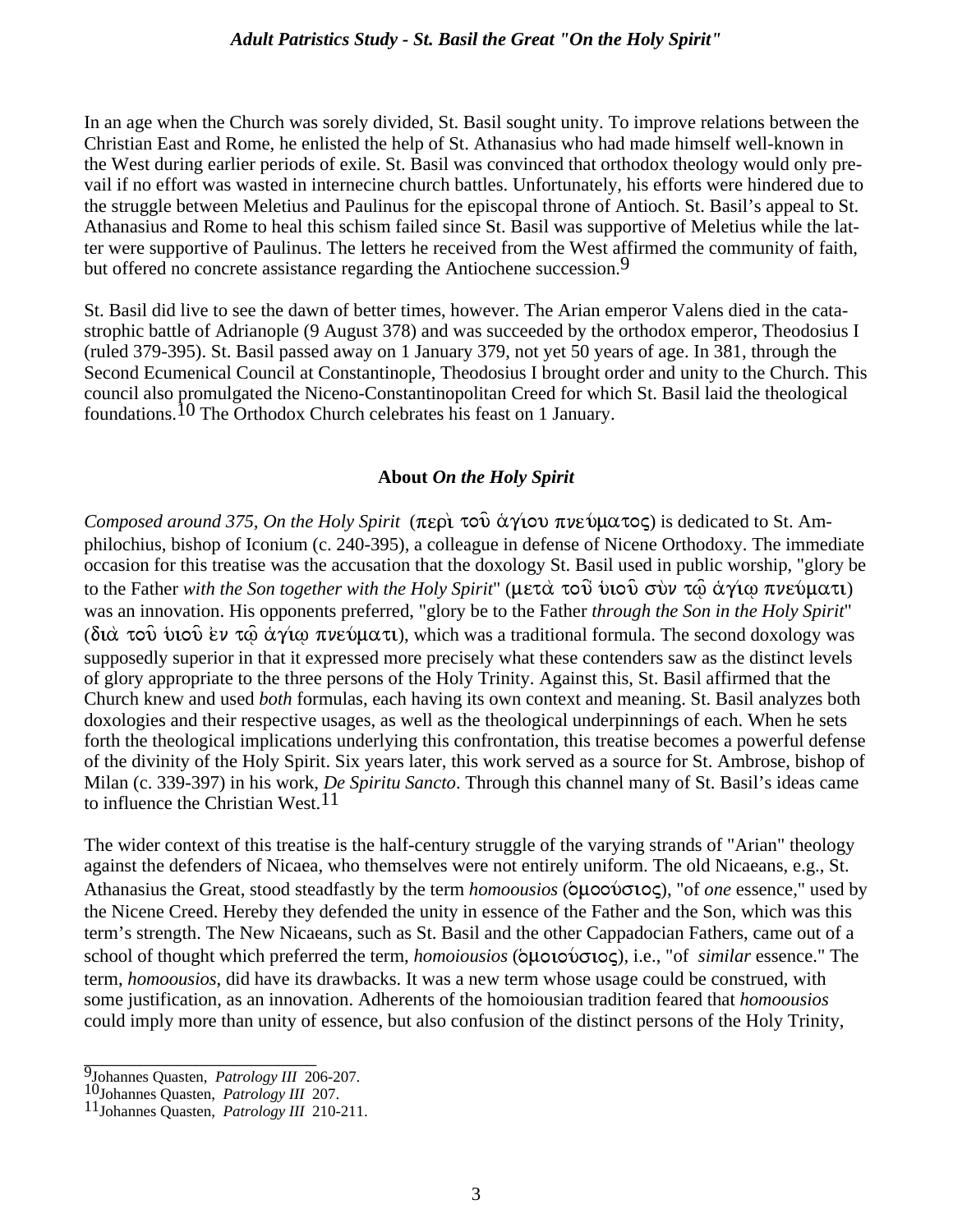In an age when the Church was sorely divided, St. Basil sought unity. To improve relations between the Christian East and Rome, he enlisted the help of St. Athanasius who had made himself well-known in the West during earlier periods of exile. St. Basil was convinced that orthodox theology would only prevail if no effort was wasted in internecine church battles. Unfortunately, his efforts were hindered due to the struggle between Meletius and Paulinus for the episcopal throne of Antioch. St. Basil's appeal to St. Athanasius and Rome to heal this schism failed since St. Basil was supportive of Meletius while the latter were supportive of Paulinus. The letters he received from the West affirmed the community of faith, but offered no concrete assistance regarding the Antiochene succession.<sup>9</sup>

St. Basil did live to see the dawn of better times, however. The Arian emperor Valens died in the catastrophic battle of Adrianople (9 August 378) and was succeeded by the orthodox emperor, Theodosius I (ruled 379-395). St. Basil passed away on 1 January 379, not yet 50 years of age. In 381, through the Second Ecumenical Council at Constantinople, Theodosius I brought order and unity to the Church. This council also promulgated the Niceno-Constantinopolitan Creed for which St. Basil laid the theological foundations.10 The Orthodox Church celebrates his feast on 1 January.

# **About** *On the Holy Spirit*

Composed around 375, On the Holy Spirit (περι του άγιου πνεύματος) is dedicated to St. Amphilochius, bishop of Iconium (c. 240-395), a colleague in defense of Nicene Orthodoxy. The immediate occasion for this treatise was the accusation that the doxology St. Basil used in public worship, "glory be to the Father with the Son together with the Holy Spirit" (μετά τοῦ ὑιοῦ σὺν τῷ ἀγίῳ πνεύματι) was an innovation. His opponents preferred, "glory be to the Father *through the Son in the Holy Spirit*" (διά του υιου εν τώ άγιω πνεύματι), which was a traditional formula. The second doxology was supposedly superior in that it expressed more precisely what these contenders saw as the distinct levels of glory appropriate to the three persons of the Holy Trinity. Against this, St. Basil affirmed that the Church knew and used *both* formulas, each having its own context and meaning. St. Basil analyzes both doxologies and their respective usages, as well as the theological underpinnings of each. When he sets forth the theological implications underlying this confrontation, this treatise becomes a powerful defense of the divinity of the Holy Spirit. Six years later, this work served as a source for St. Ambrose, bishop of Milan (c. 339-397) in his work, *De Spiritu Sancto*. Through this channel many of St. Basil's ideas came to influence the Christian West.<sup>11</sup>

The wider context of this treatise is the half-century struggle of the varying strands of "Arian" theology against the defenders of Nicaea, who themselves were not entirely uniform. The old Nicaeans, e.g., St. Athanasius the Great, stood steadfastly by the term *homoousios* (δμοσύσιος), "of *one* essence," used by the Nicene Creed. Hereby they defended the unity in essence of the Father and the Son, which was this term's strength. The New Nicaeans, such as St. Basil and the other Cappadocian Fathers, came out of a school of thought which preferred the term, *homoiousios* (**ομοιούσιος**), i.e., "of *similar* essence." The term, *homoousios*, did have its drawbacks. It was a new term whose usage could be construed, with some justification, as an innovation. Adherents of the homoiousian tradition feared that *homoousios*  could imply more than unity of essence, but also confusion of the distinct persons of the Holy Trinity,

<sup>9</sup>Johannes Quasten, *Patrology III* 206-207. \_\_\_\_\_\_\_\_\_\_\_\_\_\_\_\_\_\_\_\_\_\_\_\_\_

<sup>10</sup>Johannes Quasten, *Patrology III* 207.

<sup>11</sup>Johannes Quasten, *Patrology III* 210-211.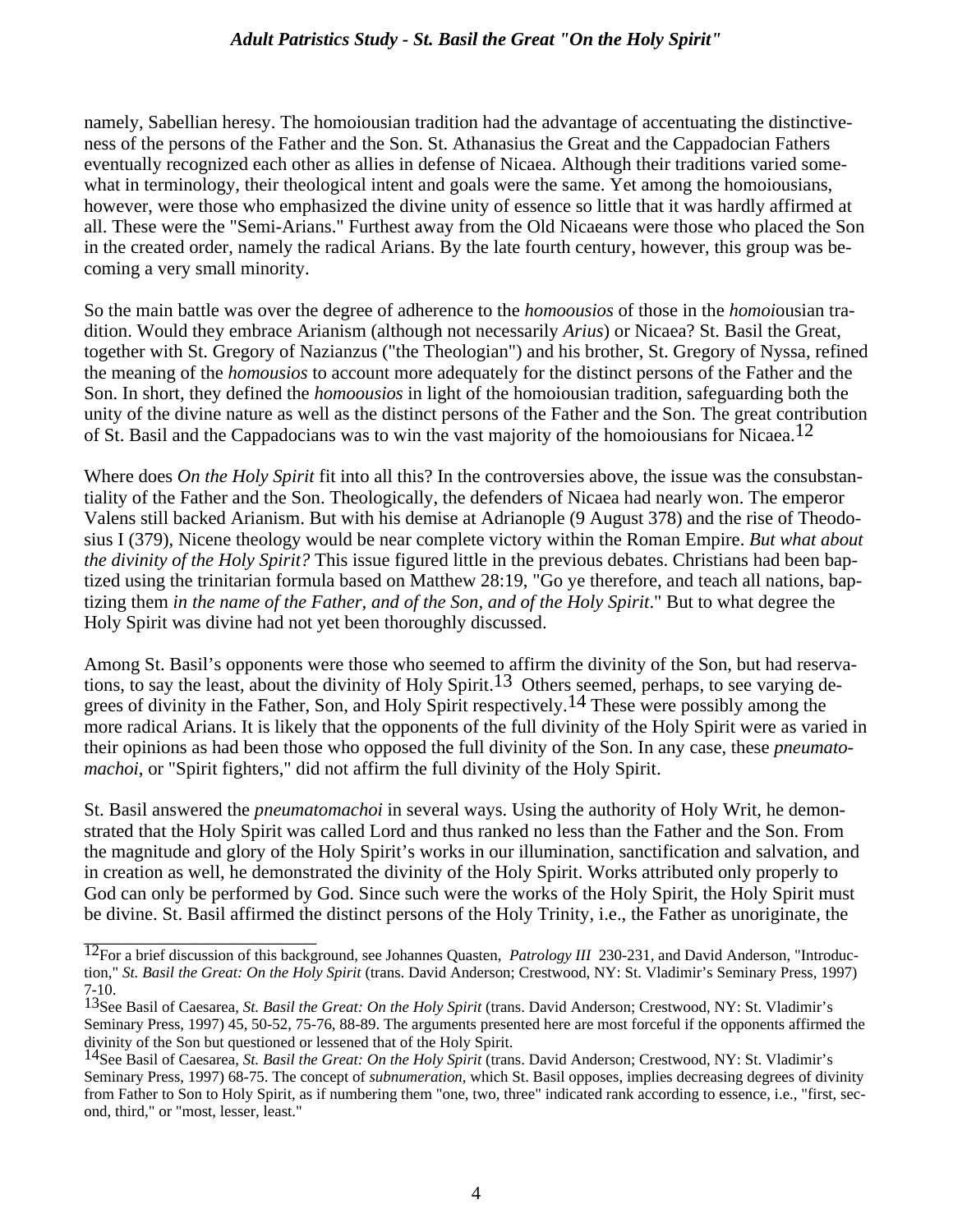namely, Sabellian heresy. The homoiousian tradition had the advantage of accentuating the distinctiveness of the persons of the Father and the Son. St. Athanasius the Great and the Cappadocian Fathers eventually recognized each other as allies in defense of Nicaea. Although their traditions varied somewhat in terminology, their theological intent and goals were the same. Yet among the homoiousians, however, were those who emphasized the divine unity of essence so little that it was hardly affirmed at all. These were the "Semi-Arians." Furthest away from the Old Nicaeans were those who placed the Son in the created order, namely the radical Arians. By the late fourth century, however, this group was becoming a very small minority.

So the main battle was over the degree of adherence to the *homoousios* of those in the *homoi*ousian tradition. Would they embrace Arianism (although not necessarily *Arius*) or Nicaea? St. Basil the Great, together with St. Gregory of Nazianzus ("the Theologian") and his brother, St. Gregory of Nyssa, refined the meaning of the *homousios* to account more adequately for the distinct persons of the Father and the Son. In short, they defined the *homoousios* in light of the homoiousian tradition, safeguarding both the unity of the divine nature as well as the distinct persons of the Father and the Son. The great contribution of St. Basil and the Cappadocians was to win the vast majority of the homoiousians for Nicaea.<sup>12</sup>

Where does *On the Holy Spirit* fit into all this? In the controversies above, the issue was the consubstantiality of the Father and the Son. Theologically, the defenders of Nicaea had nearly won. The emperor Valens still backed Arianism. But with his demise at Adrianople (9 August 378) and the rise of Theodosius I (379), Nicene theology would be near complete victory within the Roman Empire. *But what about the divinity of the Holy Spirit?* This issue figured little in the previous debates. Christians had been baptized using the trinitarian formula based on Matthew 28:19, "Go ye therefore, and teach all nations, baptizing them *in the name of the Father, and of the Son, and of the Holy Spirit*." But to what degree the Holy Spirit was divine had not yet been thoroughly discussed.

Among St. Basil's opponents were those who seemed to affirm the divinity of the Son, but had reservations, to say the least, about the divinity of Holy Spirit.<sup>13</sup> Others seemed, perhaps, to see varying degrees of divinity in the Father, Son, and Holy Spirit respectively.<sup>14</sup> These were possibly among the more radical Arians. It is likely that the opponents of the full divinity of the Holy Spirit were as varied in their opinions as had been those who opposed the full divinity of the Son. In any case, these *pneumatomachoi*, or "Spirit fighters," did not affirm the full divinity of the Holy Spirit.

St. Basil answered the *pneumatomachoi* in several ways. Using the authority of Holy Writ, he demonstrated that the Holy Spirit was called Lord and thus ranked no less than the Father and the Son. From the magnitude and glory of the Holy Spirit's works in our illumination, sanctification and salvation, and in creation as well, he demonstrated the divinity of the Holy Spirit. Works attributed only properly to God can only be performed by God. Since such were the works of the Holy Spirit, the Holy Spirit must be divine. St. Basil affirmed the distinct persons of the Holy Trinity, i.e., the Father as unoriginate, the

<sup>12</sup>For a brief discussion of this background, see Johannes Quasten, *Patrology III* 230-231, and David Anderson, "Introduction," *St. Basil the Great: On the Holy Spirit* (trans. David Anderson; Crestwood, NY: St. Vladimir's Seminary Press, 1997) 7-10. \_\_\_\_\_\_\_\_\_\_\_\_\_\_\_\_\_\_\_\_\_\_\_\_\_

<sup>13</sup>See Basil of Caesarea, *St. Basil the Great: On the Holy Spirit* (trans. David Anderson; Crestwood, NY: St. Vladimir's Seminary Press, 1997) 45, 50-52, 75-76, 88-89. The arguments presented here are most forceful if the opponents affirmed the divinity of the Son but questioned or lessened that of the Holy Spirit.

<sup>14</sup>See Basil of Caesarea, *St. Basil the Great: On the Holy Spirit* (trans. David Anderson; Crestwood, NY: St. Vladimir's Seminary Press, 1997) 68-75. The concept of *subnumeration*, which St. Basil opposes, implies decreasing degrees of divinity from Father to Son to Holy Spirit, as if numbering them "one, two, three" indicated rank according to essence, i.e., "first, second, third," or "most, lesser, least."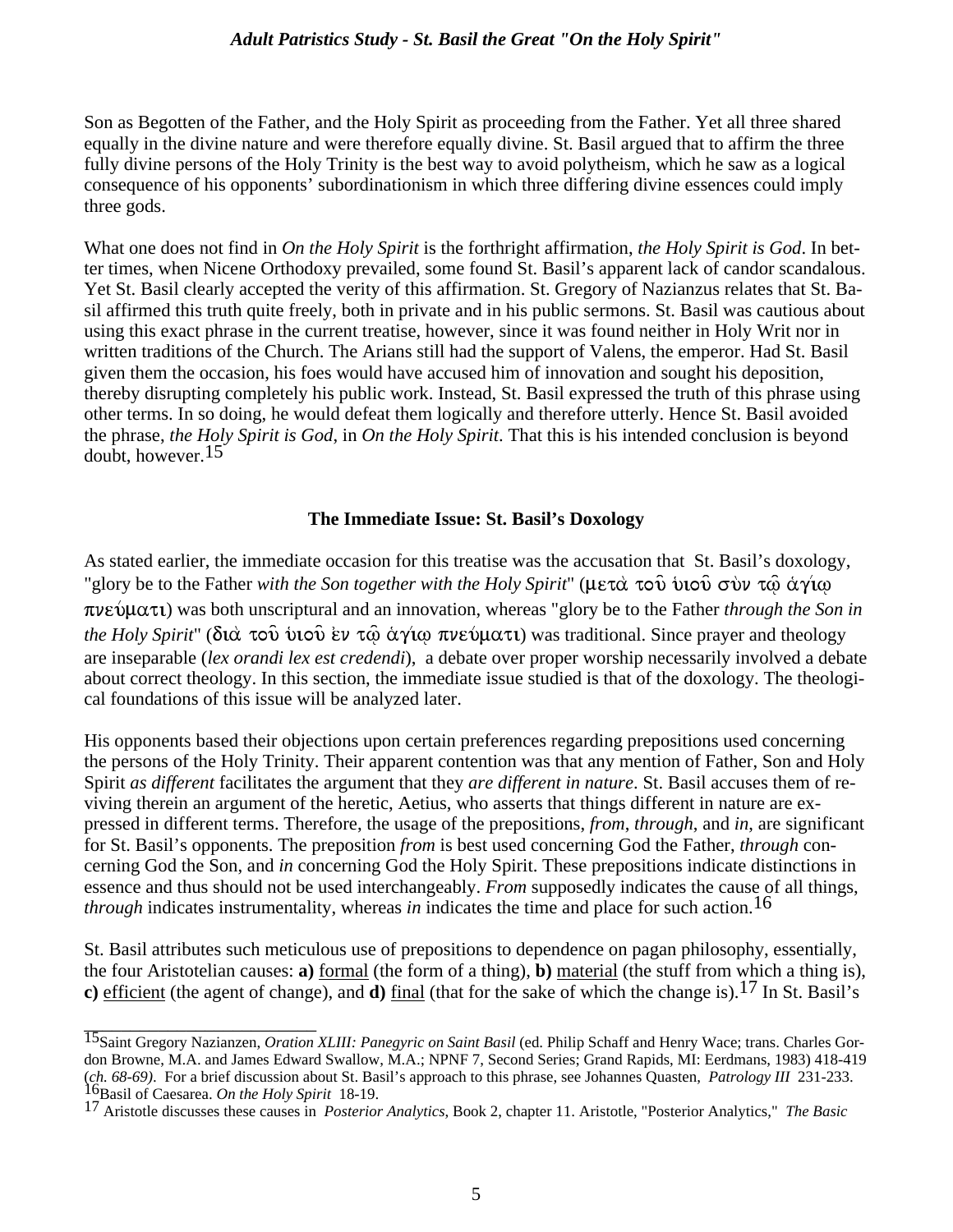Son as Begotten of the Father, and the Holy Spirit as proceeding from the Father. Yet all three shared equally in the divine nature and were therefore equally divine. St. Basil argued that to affirm the three fully divine persons of the Holy Trinity is the best way to avoid polytheism, which he saw as a logical consequence of his opponents' subordinationism in which three differing divine essences could imply three gods.

What one does not find in *On the Holy Spirit* is the forthright affirmation, *the Holy Spirit is God*. In better times, when Nicene Orthodoxy prevailed, some found St. Basil's apparent lack of candor scandalous. Yet St. Basil clearly accepted the verity of this affirmation. St. Gregory of Nazianzus relates that St. Basil affirmed this truth quite freely, both in private and in his public sermons. St. Basil was cautious about using this exact phrase in the current treatise, however, since it was found neither in Holy Writ nor in written traditions of the Church. The Arians still had the support of Valens, the emperor. Had St. Basil given them the occasion, his foes would have accused him of innovation and sought his deposition, thereby disrupting completely his public work. Instead, St. Basil expressed the truth of this phrase using other terms. In so doing, he would defeat them logically and therefore utterly. Hence St. Basil avoided the phrase, *the Holy Spirit is God*, in *On the Holy Spirit*. That this is his intended conclusion is beyond doubt, however.15

# **The Immediate Issue: St. Basil's Doxology**

As stated earlier, the immediate occasion for this treatise was the accusation that St. Basil's doxology, "glory be to the Father *with the Son together with the Holy Spirit*" (μετά τοῦ ὑιοῦ σὺν τῷ ἀγίῳ  $\pi\nu\epsilon\psi\mu\alpha\tau\iota$ ) was both unscriptural and an innovation, whereas "glory be to the Father *through the Son in* the Holy Spirit" (διά τοῦ ὑιοῦ ὲν τῷ ἀγίῳ πνεύματι) was traditional. Since prayer and theology are inseparable (*lex orandi lex est credendi*), a debate over proper worship necessarily involved a debate about correct theology. In this section, the immediate issue studied is that of the doxology. The theological foundations of this issue will be analyzed later.

His opponents based their objections upon certain preferences regarding prepositions used concerning the persons of the Holy Trinity. Their apparent contention was that any mention of Father, Son and Holy Spirit *as different* facilitates the argument that they *are different in nature*. St. Basil accuses them of reviving therein an argument of the heretic, Aetius, who asserts that things different in nature are expressed in different terms. Therefore, the usage of the prepositions, *from*, *through*, and *in*, are significant for St. Basil's opponents. The preposition *from* is best used concerning God the Father, *through* concerning God the Son, and *in* concerning God the Holy Spirit. These prepositions indicate distinctions in essence and thus should not be used interchangeably. *From* supposedly indicates the cause of all things, *through* indicates instrumentality, whereas *in* indicates the time and place for such action.<sup>16</sup>

St. Basil attributes such meticulous use of prepositions to dependence on pagan philosophy, essentially, the four Aristotelian causes: **a)** formal (the form of a thing), **b)** material (the stuff from which a thing is), **c)** efficient (the agent of change), and **d)** final (that for the sake of which the change is).17 In St. Basil's

<sup>15</sup>Saint Gregory Nazianzen, *Oration XLIII: Panegyric on Saint Basil* (ed. Philip Schaff and Henry Wace; trans. Charles Gordon Browne, M.A. and James Edward Swallow, M.A.; NPNF 7, Second Series; Grand Rapids, MI: Eerdmans, 1983) 418-419 (*ch. 68-69)*. For a brief discussion about St. Basil's approach to this phrase, see Johannes Quasten, *Patrology III* 231-233. 16Basil of Caesarea. *On the Holy Spirit* 18-19.

<sup>17</sup> Aristotle discusses these causes in *Posterior Analytics*, Book 2, chapter 11. Aristotle, "Posterior Analytics," *The Basic*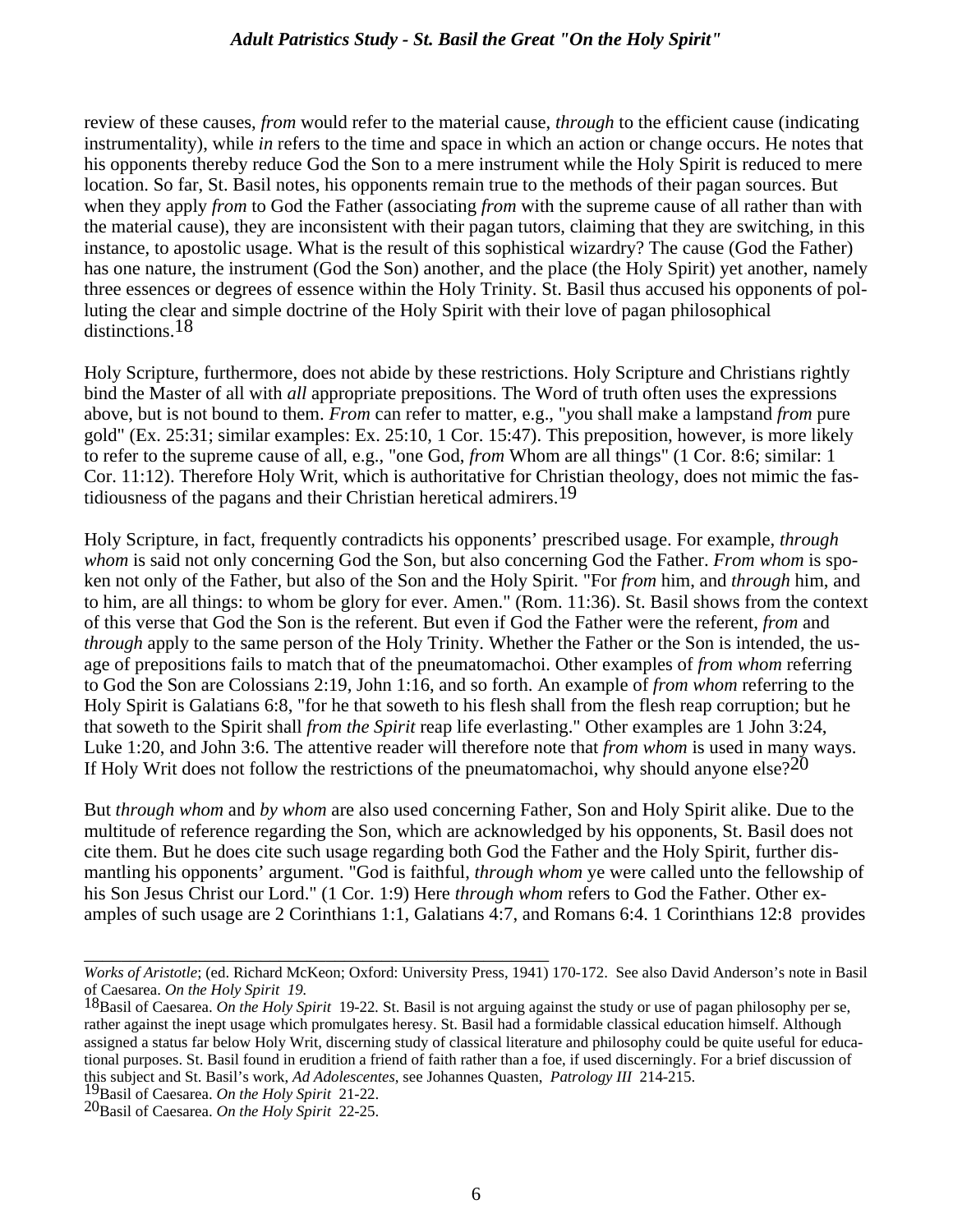review of these causes, *from* would refer to the material cause, *through* to the efficient cause (indicating instrumentality), while *in* refers to the time and space in which an action or change occurs. He notes that his opponents thereby reduce God the Son to a mere instrument while the Holy Spirit is reduced to mere location. So far, St. Basil notes, his opponents remain true to the methods of their pagan sources. But when they apply *from* to God the Father (associating *from* with the supreme cause of all rather than with the material cause), they are inconsistent with their pagan tutors, claiming that they are switching, in this instance, to apostolic usage. What is the result of this sophistical wizardry? The cause (God the Father) has one nature, the instrument (God the Son) another, and the place (the Holy Spirit) yet another, namely three essences or degrees of essence within the Holy Trinity. St. Basil thus accused his opponents of polluting the clear and simple doctrine of the Holy Spirit with their love of pagan philosophical distinctions.18

Holy Scripture, furthermore, does not abide by these restrictions. Holy Scripture and Christians rightly bind the Master of all with *all* appropriate prepositions. The Word of truth often uses the expressions above, but is not bound to them. *From* can refer to matter, e.g., "*y*ou shall make a lampstand *from* pure gold" (Ex. 25:31; similar examples: Ex. 25:10, 1 Cor. 15:47). This preposition, however, is more likely to refer to the supreme cause of all, e.g., "one God, *from* Whom are all things" (1 Cor. 8:6; similar: 1 Cor. 11:12). Therefore Holy Writ, which is authoritative for Christian theology, does not mimic the fastidiousness of the pagans and their Christian heretical admirers.<sup>19</sup>

Holy Scripture, in fact, frequently contradicts his opponents' prescribed usage. For example, *through whom* is said not only concerning God the Son, but also concerning God the Father. *From whom* is spoken not only of the Father, but also of the Son and the Holy Spirit. "For *from* him, and *through* him, and to him, are all things: to whom be glory for ever. Amen." (Rom. 11:36). St. Basil shows from the context of this verse that God the Son is the referent. But even if God the Father were the referent, *from* and *through* apply to the same person of the Holy Trinity. Whether the Father or the Son is intended, the usage of prepositions fails to match that of the pneumatomachoi. Other examples of *from whom* referring to God the Son are Colossians 2:19, John 1:16, and so forth. An example of *from whom* referring to the Holy Spirit is Galatians 6:8, "for he that soweth to his flesh shall from the flesh reap corruption; but he that soweth to the Spirit shall *from the Spirit* reap life everlasting." Other examples are 1 John 3:24, Luke 1:20, and John 3:6. The attentive reader will therefore note that *from whom* is used in many ways. If Holy Writ does not follow the restrictions of the pneumatomachoi, why should anyone else?  $20$ 

But *through whom* and *by whom* are also used concerning Father, Son and Holy Spirit alike. Due to the multitude of reference regarding the Son, which are acknowledged by his opponents, St. Basil does not cite them. But he does cite such usage regarding both God the Father and the Holy Spirit, further dismantling his opponents' argument. "God is faithful, *through whom* ye were called unto the fellowship of his Son Jesus Christ our Lord." (1 Cor. 1:9) Here *through whom* refers to God the Father. Other examples of such usage are 2 Corinthians 1:1, Galatians 4:7, and Romans 6:4. 1 Corinthians 12:8 provides

19Basil of Caesarea. *On the Holy Spirit* 21-22.

\_\_\_\_\_\_\_\_\_\_\_\_\_\_\_\_\_\_\_\_\_\_\_\_\_\_\_\_\_\_\_\_\_\_\_\_\_\_\_\_\_\_\_\_\_\_\_\_\_\_

*Works of Aristotle*; (ed. Richard McKeon; Oxford: University Press, 1941) 170-172. See also David Anderson's note in Basil of Caesarea. *On the Holy Spirit 19.*

<sup>18</sup>Basil of Caesarea. *On the Holy Spirit* 19-22*.* St. Basil is not arguing against the study or use of pagan philosophy per se, rather against the inept usage which promulgates heresy. St. Basil had a formidable classical education himself. Although assigned a status far below Holy Writ, discerning study of classical literature and philosophy could be quite useful for educational purposes. St. Basil found in erudition a friend of faith rather than a foe, if used discerningly. For a brief discussion of this subject and St. Basil's work, *Ad Adolescentes*, see Johannes Quasten, *Patrology III* 214-215.

<sup>20</sup>Basil of Caesarea. *On the Holy Spirit* 22-25.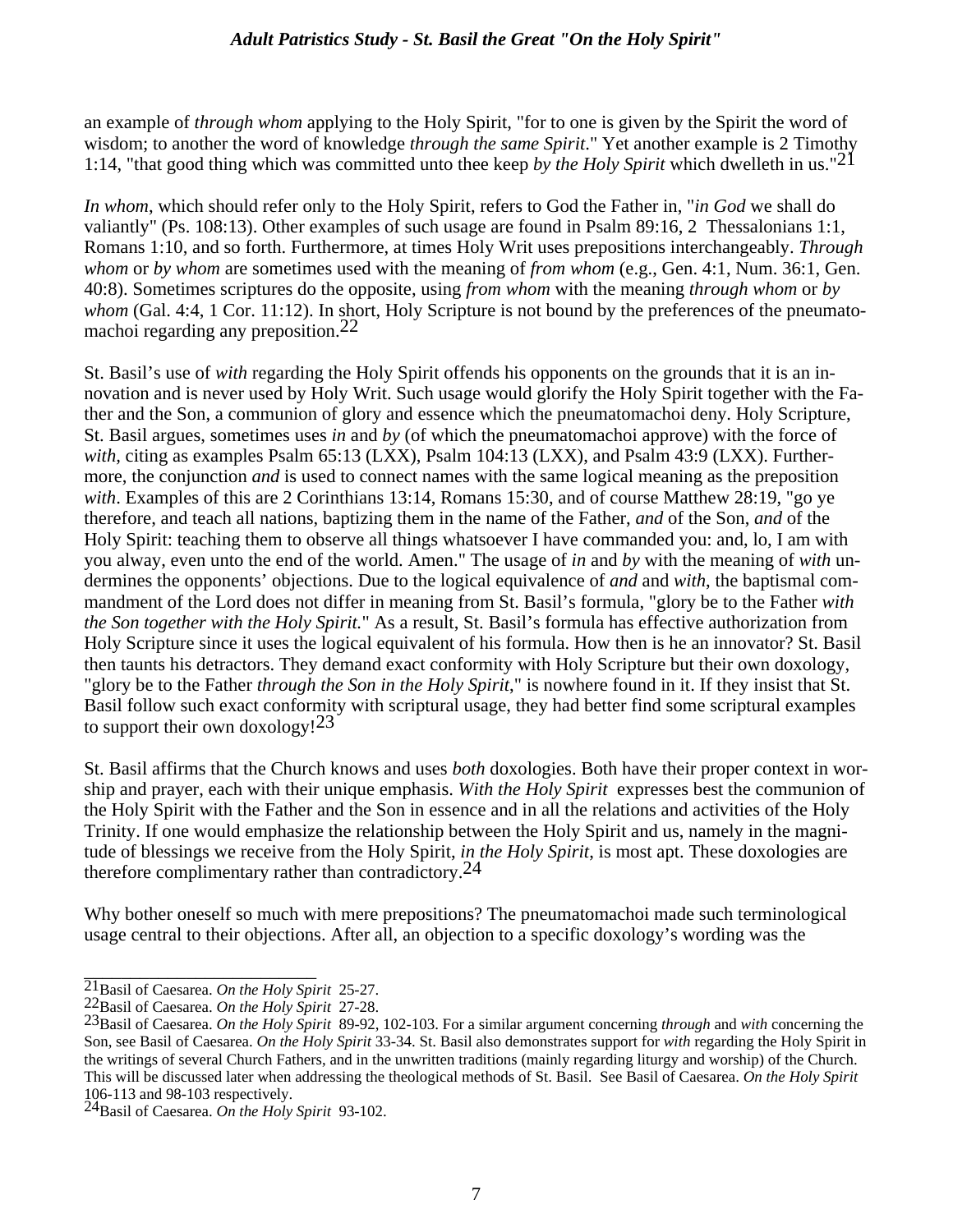an example of *through whom* applying to the Holy Spirit, "for to one is given by the Spirit the word of wisdom; to another the word of knowledge *through the same Spirit*." Yet another example is 2 Timothy 1:14, "that good thing which was committed unto thee keep *by the Holy Spirit* which dwelleth in us."21

*In whom*, which should refer only to the Holy Spirit, refers to God the Father in, "*in God* we shall do valiantly" (Ps. 108:13). Other examples of such usage are found in Psalm 89:16, 2 Thessalonians 1:1, Romans 1:10, and so forth. Furthermore, at times Holy Writ uses prepositions interchangeably. *Through whom* or *by whom* are sometimes used with the meaning of *from whom* (e.g., Gen. 4:1, Num. 36:1, Gen. 40:8). Sometimes scriptures do the opposite, using *from whom* with the meaning *through whom* or *by whom* (Gal. 4:4, 1 Cor. 11:12). In short, Holy Scripture is not bound by the preferences of the pneumatomachoi regarding any preposition.22

St. Basil's use of *with* regarding the Holy Spirit offends his opponents on the grounds that it is an innovation and is never used by Holy Writ. Such usage would glorify the Holy Spirit together with the Father and the Son, a communion of glory and essence which the pneumatomachoi deny. Holy Scripture, St. Basil argues, sometimes uses *in* and *by* (of which the pneumatomachoi approve) with the force of with, citing as examples Psalm 65:13 (LXX), Psalm 104:13 (LXX), and Psalm 43:9 (LXX). Furthermore, the conjunction *and* is used to connect names with the same logical meaning as the preposition *with*. Examples of this are 2 Corinthians 13:14, Romans 15:30, and of course Matthew 28:19, "go ye therefore, and teach all nations, baptizing them in the name of the Father, *and* of the Son, *and* of the Holy Spirit: teaching them to observe all things whatsoever I have commanded you: and, lo, I am with you alway, even unto the end of the world. Amen." The usage of *in* and *by* with the meaning of *with* undermines the opponents' objections. Due to the logical equivalence of *and* and *with*, the baptismal commandment of the Lord does not differ in meaning from St. Basil's formula, "glory be to the Father *with the Son together with the Holy Spirit.*" As a result, St. Basil's formula has effective authorization from Holy Scripture since it uses the logical equivalent of his formula. How then is he an innovator? St. Basil then taunts his detractors. They demand exact conformity with Holy Scripture but their own doxology, "glory be to the Father *through the Son in the Holy Spirit*," is nowhere found in it. If they insist that St. Basil follow such exact conformity with scriptural usage, they had better find some scriptural examples to support their own doxology! $23$ 

St. Basil affirms that the Church knows and uses *both* doxologies. Both have their proper context in worship and prayer, each with their unique emphasis. *With the Holy Spirit* expresses best the communion of the Holy Spirit with the Father and the Son in essence and in all the relations and activities of the Holy Trinity. If one would emphasize the relationship between the Holy Spirit and us, namely in the magnitude of blessings we receive from the Holy Spirit, *in the Holy Spirit*, is most apt. These doxologies are therefore complimentary rather than contradictory.<sup>24</sup>

Why bother oneself so much with mere prepositions? The pneumatomachoi made such terminological usage central to their objections. After all, an objection to a specific doxology's wording was the

<sup>21</sup>Basil of Caesarea. *On the Holy Spirit* 25-27.  $\overline{\phantom{a}}$  , which is a set of the set of the set of the set of the set of the set of the set of the set of the set of the set of the set of the set of the set of the set of the set of the set of the set of the set of th

<sup>22</sup>Basil of Caesarea. *On the Holy Spirit* 27-28.

<sup>23</sup>Basil of Caesarea. *On the Holy Spirit* 89-92, 102-103. For a similar argument concerning *through* and *with* concerning the Son, see Basil of Caesarea. *On the Holy Spirit* 33-34. St. Basil also demonstrates support for *with* regarding the Holy Spirit in the writings of several Church Fathers, and in the unwritten traditions (mainly regarding liturgy and worship) of the Church. This will be discussed later when addressing the theological methods of St. Basil. See Basil of Caesarea. *On the Holy Spirit*  106-113 and 98-103 respectively.

<sup>24</sup>Basil of Caesarea. *On the Holy Spirit* 93-102.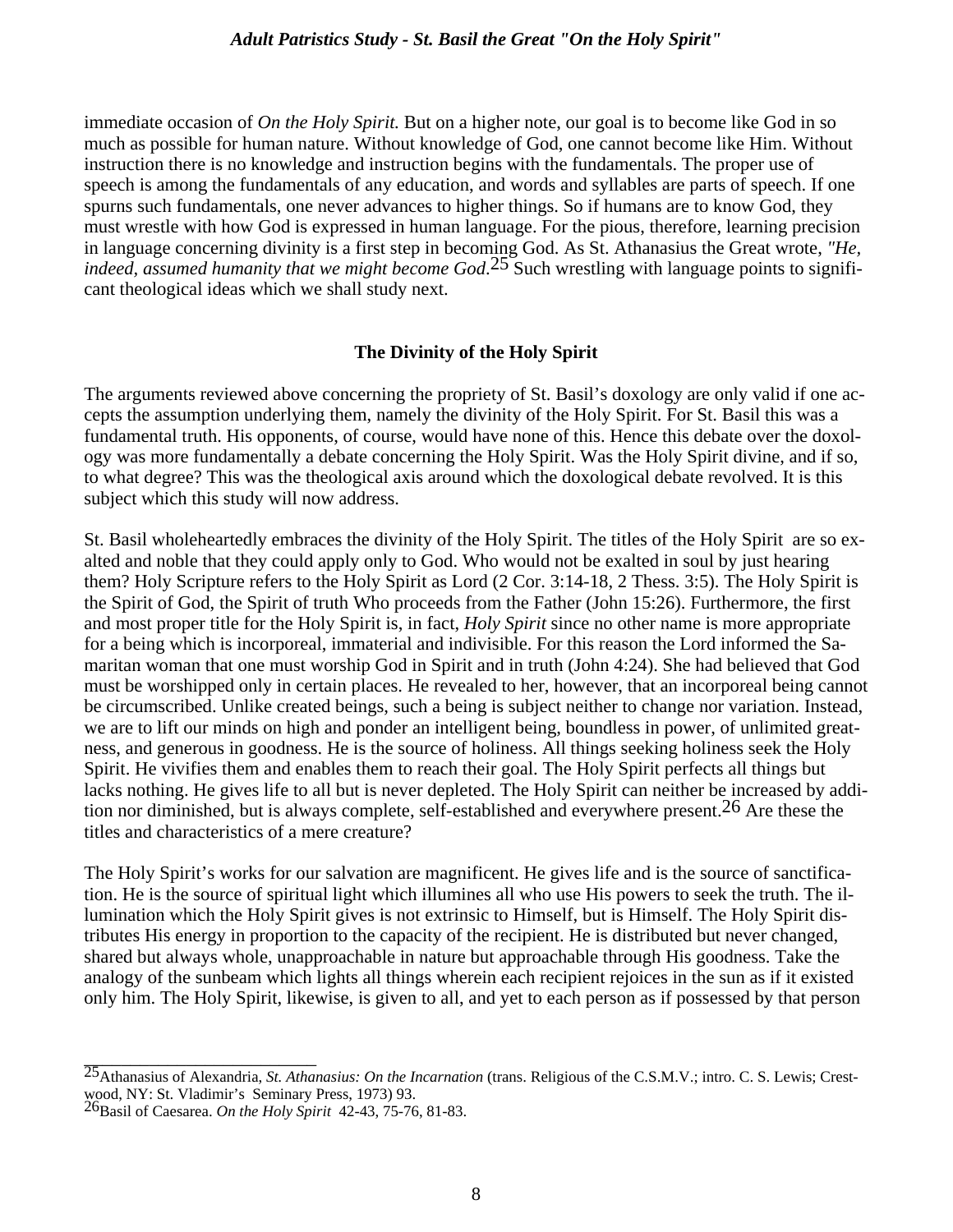immediate occasion of *On the Holy Spirit.* But on a higher note, our goal is to become like God in so much as possible for human nature. Without knowledge of God, one cannot become like Him. Without instruction there is no knowledge and instruction begins with the fundamentals. The proper use of speech is among the fundamentals of any education, and words and syllables are parts of speech. If one spurns such fundamentals, one never advances to higher things. So if humans are to know God, they must wrestle with how God is expressed in human language. For the pious, therefore, learning precision in language concerning divinity is a first step in becoming God. As St. Athanasius the Great wrote, *"He, indeed, assumed humanity that we might become God*.25 Such wrestling with language points to significant theological ideas which we shall study next.

# **The Divinity of the Holy Spirit**

The arguments reviewed above concerning the propriety of St. Basil's doxology are only valid if one accepts the assumption underlying them, namely the divinity of the Holy Spirit. For St. Basil this was a fundamental truth. His opponents, of course, would have none of this. Hence this debate over the doxology was more fundamentally a debate concerning the Holy Spirit. Was the Holy Spirit divine, and if so, to what degree? This was the theological axis around which the doxological debate revolved. It is this subject which this study will now address.

St. Basil wholeheartedly embraces the divinity of the Holy Spirit. The titles of the Holy Spirit are so exalted and noble that they could apply only to God. Who would not be exalted in soul by just hearing them? Holy Scripture refers to the Holy Spirit as Lord (2 Cor. 3:14-18, 2 Thess. 3:5). The Holy Spirit is the Spirit of God, the Spirit of truth Who proceeds from the Father (John 15:26). Furthermore, the first and most proper title for the Holy Spirit is, in fact, *Holy Spirit* since no other name is more appropriate for a being which is incorporeal, immaterial and indivisible. For this reason the Lord informed the Samaritan woman that one must worship God in Spirit and in truth (John 4:24). She had believed that God must be worshipped only in certain places. He revealed to her, however, that an incorporeal being cannot be circumscribed. Unlike created beings, such a being is subject neither to change nor variation. Instead, we are to lift our minds on high and ponder an intelligent being, boundless in power, of unlimited greatness, and generous in goodness. He is the source of holiness. All things seeking holiness seek the Holy Spirit. He vivifies them and enables them to reach their goal. The Holy Spirit perfects all things but lacks nothing. He gives life to all but is never depleted. The Holy Spirit can neither be increased by addition nor diminished, but is always complete, self-established and everywhere present.26 Are these the titles and characteristics of a mere creature?

The Holy Spirit's works for our salvation are magnificent. He gives life and is the source of sanctification. He is the source of spiritual light which illumines all who use His powers to seek the truth. The illumination which the Holy Spirit gives is not extrinsic to Himself, but is Himself. The Holy Spirit distributes His energy in proportion to the capacity of the recipient. He is distributed but never changed, shared but always whole, unapproachable in nature but approachable through His goodness. Take the analogy of the sunbeam which lights all things wherein each recipient rejoices in the sun as if it existed only him. The Holy Spirit, likewise, is given to all, and yet to each person as if possessed by that person

<sup>25</sup>Athanasius of Alexandria, *St. Athanasius: On the Incarnation* (trans. Religious of the C.S.M.V.; intro. C. S. Lewis; Crestwood, NY: St. Vladimir's Seminary Press, 1973) 93.

<sup>26</sup>Basil of Caesarea. *On the Holy Spirit* 42-43, 75-76, 81-83.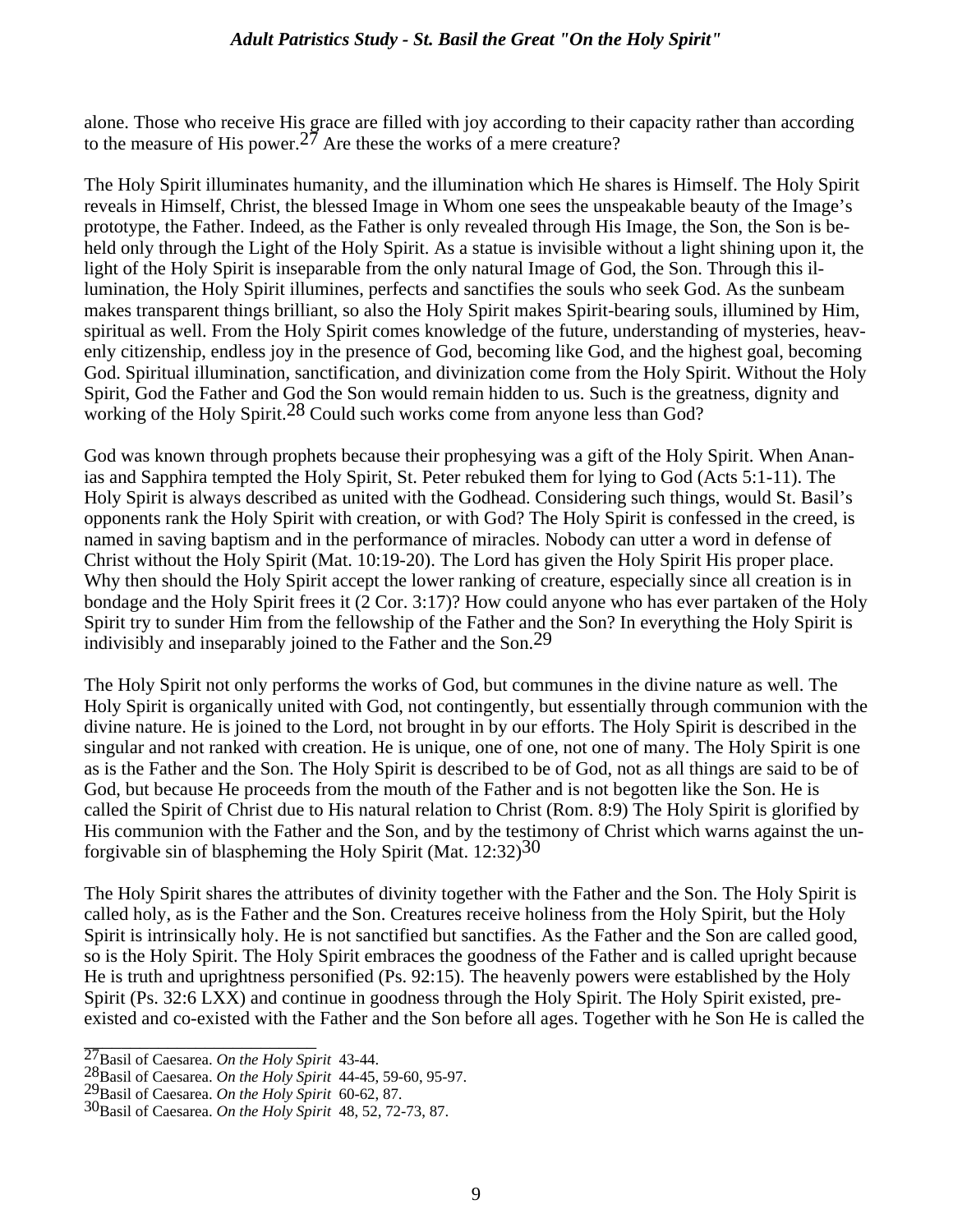alone. Those who receive His grace are filled with joy according to their capacity rather than according to the measure of His power.<sup>27</sup> Are these the works of a mere creature?

The Holy Spirit illuminates humanity, and the illumination which He shares is Himself. The Holy Spirit reveals in Himself, Christ, the blessed Image in Whom one sees the unspeakable beauty of the Image's prototype, the Father. Indeed, as the Father is only revealed through His Image, the Son, the Son is beheld only through the Light of the Holy Spirit. As a statue is invisible without a light shining upon it, the light of the Holy Spirit is inseparable from the only natural Image of God, the Son. Through this illumination, the Holy Spirit illumines, perfects and sanctifies the souls who seek God. As the sunbeam makes transparent things brilliant, so also the Holy Spirit makes Spirit-bearing souls, illumined by Him, spiritual as well. From the Holy Spirit comes knowledge of the future, understanding of mysteries, heavenly citizenship, endless joy in the presence of God, becoming like God, and the highest goal, becoming God. Spiritual illumination, sanctification, and divinization come from the Holy Spirit. Without the Holy Spirit, God the Father and God the Son would remain hidden to us. Such is the greatness, dignity and working of the Holy Spirit.<sup>28</sup> Could such works come from anyone less than God?

God was known through prophets because their prophesying was a gift of the Holy Spirit. When Ananias and Sapphira tempted the Holy Spirit, St. Peter rebuked them for lying to God (Acts 5:1-11). The Holy Spirit is always described as united with the Godhead. Considering such things, would St. Basil's opponents rank the Holy Spirit with creation, or with God? The Holy Spirit is confessed in the creed, is named in saving baptism and in the performance of miracles. Nobody can utter a word in defense of Christ without the Holy Spirit (Mat. 10:19-20). The Lord has given the Holy Spirit His proper place. Why then should the Holy Spirit accept the lower ranking of creature, especially since all creation is in bondage and the Holy Spirit frees it (2 Cor. 3:17)? How could anyone who has ever partaken of the Holy Spirit try to sunder Him from the fellowship of the Father and the Son? In everything the Holy Spirit is indivisibly and inseparably joined to the Father and the Son.<sup>29</sup>

The Holy Spirit not only performs the works of God, but communes in the divine nature as well. The Holy Spirit is organically united with God, not contingently, but essentially through communion with the divine nature. He is joined to the Lord, not brought in by our efforts. The Holy Spirit is described in the singular and not ranked with creation. He is unique, one of one, not one of many. The Holy Spirit is one as is the Father and the Son. The Holy Spirit is described to be of God, not as all things are said to be of God, but because He proceeds from the mouth of the Father and is not begotten like the Son. He is called the Spirit of Christ due to His natural relation to Christ (Rom. 8:9) The Holy Spirit is glorified by His communion with the Father and the Son, and by the testimony of Christ which warns against the unforgivable sin of blaspheming the Holy Spirit (Mat.  $12:32$ )<sup>30</sup>

The Holy Spirit shares the attributes of divinity together with the Father and the Son. The Holy Spirit is called holy, as is the Father and the Son. Creatures receive holiness from the Holy Spirit, but the Holy Spirit is intrinsically holy. He is not sanctified but sanctifies. As the Father and the Son are called good, so is the Holy Spirit. The Holy Spirit embraces the goodness of the Father and is called upright because He is truth and uprightness personified (Ps. 92:15). The heavenly powers were established by the Holy Spirit (Ps. 32:6 LXX) and continue in goodness through the Holy Spirit. The Holy Spirit existed, preexisted and co-existed with the Father and the Son before all ages. Together with he Son He is called the

<sup>27</sup>Basil of Caesarea. *On the Holy Spirit* 43-44.  $\overline{\phantom{a}}$  , which is a set of the set of the set of the set of the set of the set of the set of the set of the set of the set of the set of the set of the set of the set of the set of the set of the set of the set of th

<sup>28</sup>Basil of Caesarea. *On the Holy Spirit* 44-45, 59-60, 95-97.

<sup>29</sup>Basil of Caesarea. *On the Holy Spirit* 60-62, 87.

<sup>30</sup>Basil of Caesarea. *On the Holy Spirit* 48, 52, 72-73, 87.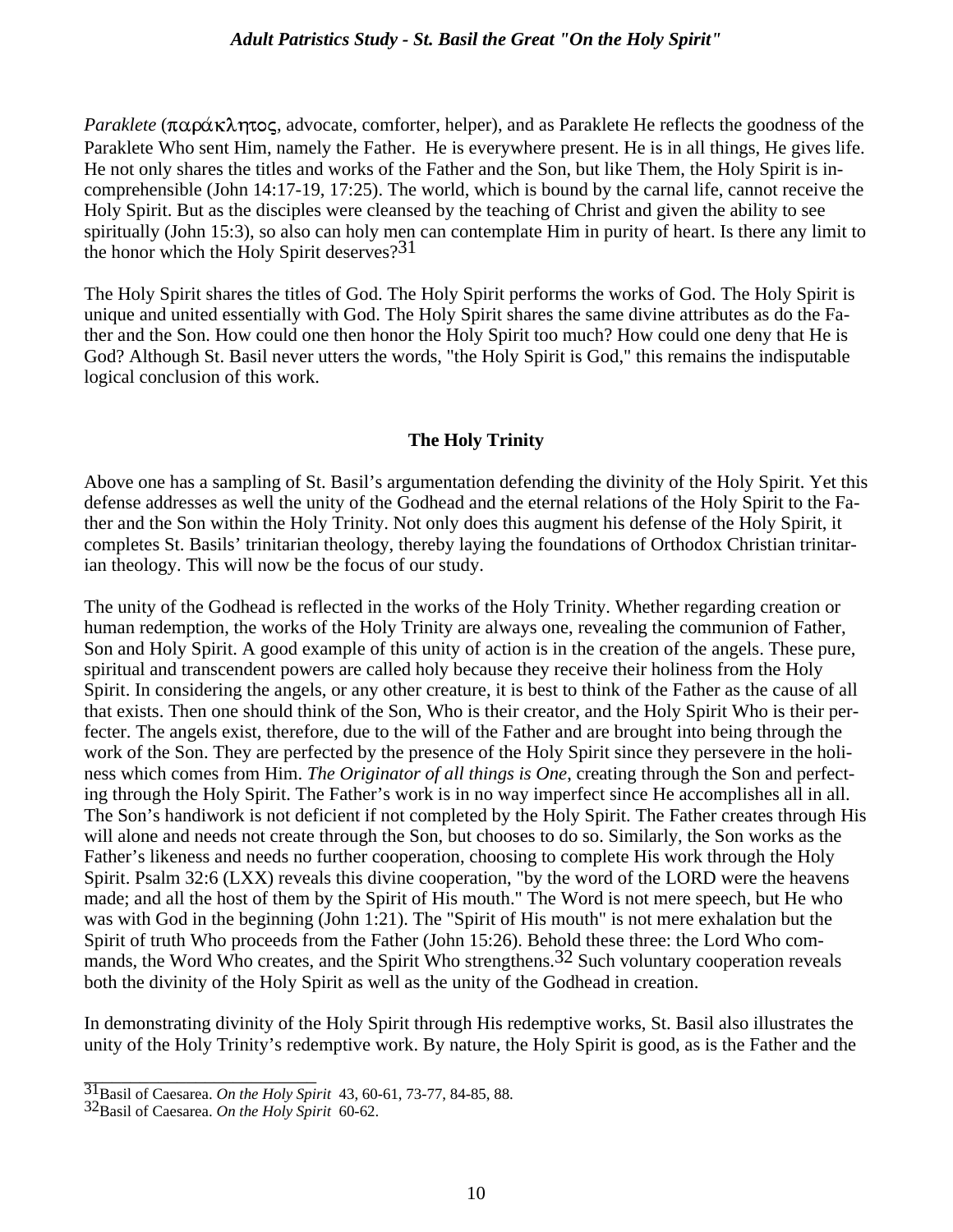*Paraklete* ( $\pi \alpha \rho \alpha \kappa \lambda \eta \tau o \varsigma$ , advocate, comforter, helper), and as Paraklete He reflects the goodness of the Paraklete Who sent Him, namely the Father. He is everywhere present. He is in all things, He gives life. He not only shares the titles and works of the Father and the Son, but like Them, the Holy Spirit is incomprehensible (John 14:17-19, 17:25). The world, which is bound by the carnal life, cannot receive the Holy Spirit. But as the disciples were cleansed by the teaching of Christ and given the ability to see spiritually (John 15:3), so also can holy men can contemplate Him in purity of heart. Is there any limit to the honor which the Holy Spirit deserves? $31$ 

The Holy Spirit shares the titles of God. The Holy Spirit performs the works of God. The Holy Spirit is unique and united essentially with God. The Holy Spirit shares the same divine attributes as do the Father and the Son. How could one then honor the Holy Spirit too much? How could one deny that He is God? Although St. Basil never utters the words, "the Holy Spirit is God," this remains the indisputable logical conclusion of this work.

#### **The Holy Trinity**

Above one has a sampling of St. Basil's argumentation defending the divinity of the Holy Spirit. Yet this defense addresses as well the unity of the Godhead and the eternal relations of the Holy Spirit to the Father and the Son within the Holy Trinity. Not only does this augment his defense of the Holy Spirit, it completes St. Basils' trinitarian theology, thereby laying the foundations of Orthodox Christian trinitarian theology. This will now be the focus of our study.

The unity of the Godhead is reflected in the works of the Holy Trinity. Whether regarding creation or human redemption, the works of the Holy Trinity are always one, revealing the communion of Father, Son and Holy Spirit. A good example of this unity of action is in the creation of the angels. These pure, spiritual and transcendent powers are called holy because they receive their holiness from the Holy Spirit. In considering the angels, or any other creature, it is best to think of the Father as the cause of all that exists. Then one should think of the Son, Who is their creator, and the Holy Spirit Who is their perfecter. The angels exist, therefore, due to the will of the Father and are brought into being through the work of the Son. They are perfected by the presence of the Holy Spirit since they persevere in the holiness which comes from Him. *The Originator of all things is One*, creating through the Son and perfecting through the Holy Spirit. The Father's work is in no way imperfect since He accomplishes all in all. The Son's handiwork is not deficient if not completed by the Holy Spirit. The Father creates through His will alone and needs not create through the Son, but chooses to do so. Similarly, the Son works as the Father's likeness and needs no further cooperation, choosing to complete His work through the Holy Spirit. Psalm 32:6 (LXX) reveals this divine cooperation, "by the word of the LORD were the heavens made; and all the host of them by the Spirit of His mouth." The Word is not mere speech, but He who was with God in the beginning (John 1:21). The "Spirit of His mouth" is not mere exhalation but the Spirit of truth Who proceeds from the Father (John 15:26). Behold these three: the Lord Who commands, the Word Who creates, and the Spirit Who strengthens.<sup>32</sup> Such voluntary cooperation reveals both the divinity of the Holy Spirit as well as the unity of the Godhead in creation.

In demonstrating divinity of the Holy Spirit through His redemptive works, St. Basil also illustrates the unity of the Holy Trinity's redemptive work. By nature, the Holy Spirit is good, as is the Father and the

<sup>31</sup>Basil of Caesarea. *On the Holy Spirit* 43, 60-61, 73-77, 84-85, 88.

<sup>32</sup>Basil of Caesarea. *On the Holy Spirit* 60-62.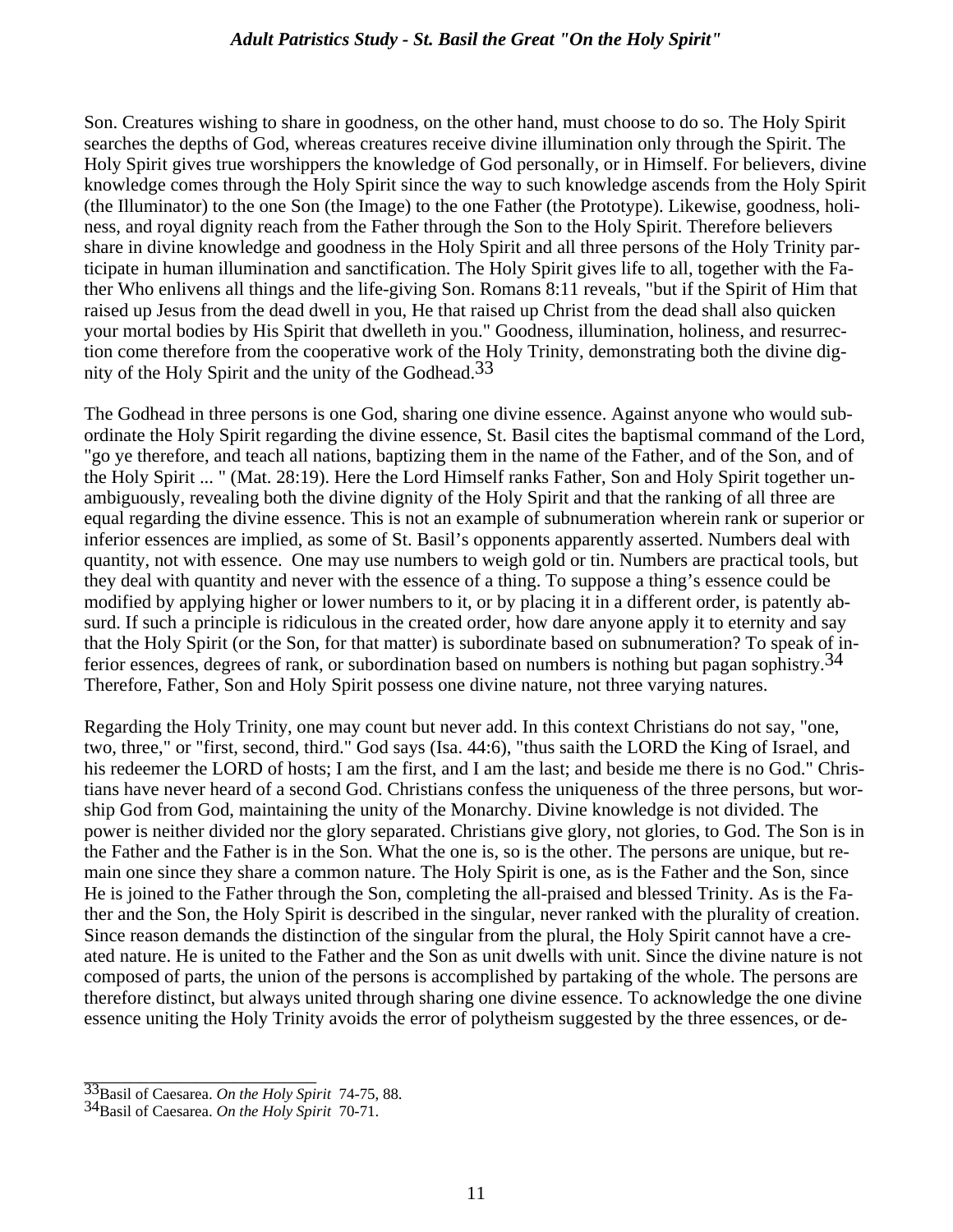Son. Creatures wishing to share in goodness, on the other hand, must choose to do so. The Holy Spirit searches the depths of God, whereas creatures receive divine illumination only through the Spirit. The Holy Spirit gives true worshippers the knowledge of God personally, or in Himself. For believers, divine knowledge comes through the Holy Spirit since the way to such knowledge ascends from the Holy Spirit (the Illuminator) to the one Son (the Image) to the one Father (the Prototype). Likewise, goodness, holiness, and royal dignity reach from the Father through the Son to the Holy Spirit. Therefore believers share in divine knowledge and goodness in the Holy Spirit and all three persons of the Holy Trinity participate in human illumination and sanctification. The Holy Spirit gives life to all, together with the Father Who enlivens all things and the life-giving Son. Romans 8:11 reveals, "but if the Spirit of Him that raised up Jesus from the dead dwell in you, He that raised up Christ from the dead shall also quicken your mortal bodies by His Spirit that dwelleth in you." Goodness, illumination, holiness, and resurrection come therefore from the cooperative work of the Holy Trinity, demonstrating both the divine dignity of the Holy Spirit and the unity of the Godhead.<sup>33</sup>

The Godhead in three persons is one God, sharing one divine essence. Against anyone who would subordinate the Holy Spirit regarding the divine essence, St. Basil cites the baptismal command of the Lord, "go ye therefore, and teach all nations, baptizing them in the name of the Father, and of the Son, and of the Holy Spirit ... " (Mat. 28:19). Here the Lord Himself ranks Father, Son and Holy Spirit together unambiguously, revealing both the divine dignity of the Holy Spirit and that the ranking of all three are equal regarding the divine essence. This is not an example of subnumeration wherein rank or superior or inferior essences are implied, as some of St. Basil's opponents apparently asserted. Numbers deal with quantity, not with essence. One may use numbers to weigh gold or tin. Numbers are practical tools, but they deal with quantity and never with the essence of a thing. To suppose a thing's essence could be modified by applying higher or lower numbers to it, or by placing it in a different order, is patently absurd. If such a principle is ridiculous in the created order, how dare anyone apply it to eternity and say that the Holy Spirit (or the Son, for that matter) is subordinate based on subnumeration? To speak of inferior essences, degrees of rank, or subordination based on numbers is nothing but pagan sophistry.<sup>34</sup> Therefore, Father, Son and Holy Spirit possess one divine nature, not three varying natures.

Regarding the Holy Trinity, one may count but never add. In this context Christians do not say, "one, two, three," or "first, second, third." God says (Isa. 44:6), "thus saith the LORD the King of Israel, and his redeemer the LORD of hosts; I am the first, and I am the last; and beside me there is no God." Christians have never heard of a second God. Christians confess the uniqueness of the three persons, but worship God from God, maintaining the unity of the Monarchy. Divine knowledge is not divided. The power is neither divided nor the glory separated. Christians give glory, not glories, to God. The Son is in the Father and the Father is in the Son. What the one is, so is the other. The persons are unique, but remain one since they share a common nature. The Holy Spirit is one, as is the Father and the Son, since He is joined to the Father through the Son, completing the all-praised and blessed Trinity. As is the Father and the Son, the Holy Spirit is described in the singular, never ranked with the plurality of creation. Since reason demands the distinction of the singular from the plural, the Holy Spirit cannot have a created nature. He is united to the Father and the Son as unit dwells with unit. Since the divine nature is not composed of parts, the union of the persons is accomplished by partaking of the whole. The persons are therefore distinct, but always united through sharing one divine essence. To acknowledge the one divine essence uniting the Holy Trinity avoids the error of polytheism suggested by the three essences, or de-

<sup>33</sup>Basil of Caesarea. *On the Holy Spirit* 74-75, 88.

<sup>34</sup>Basil of Caesarea. *On the Holy Spirit* 70-71.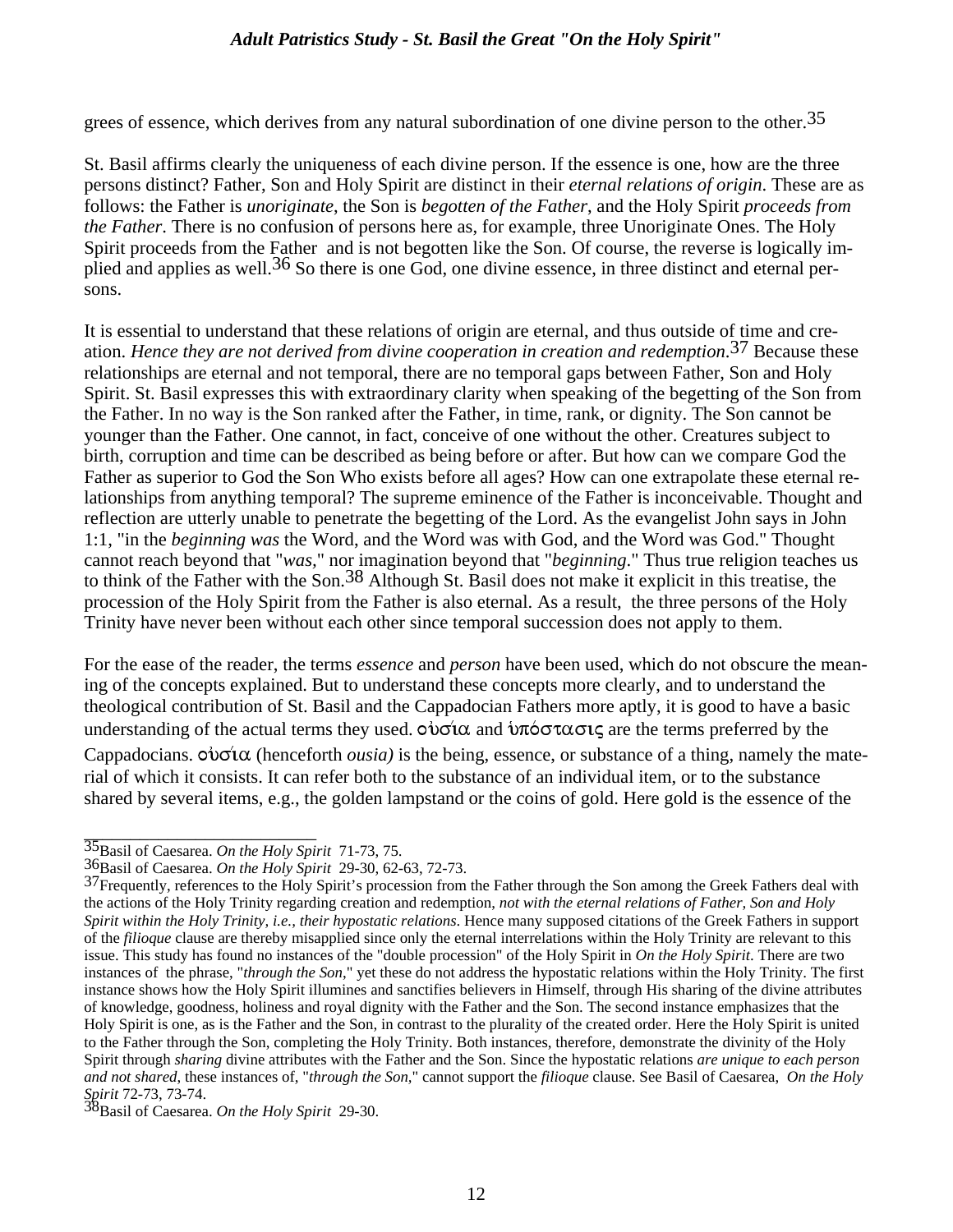grees of essence, which derives from any natural subordination of one divine person to the other.<sup>35</sup>

St. Basil affirms clearly the uniqueness of each divine person. If the essence is one, how are the three persons distinct? Father, Son and Holy Spirit are distinct in their *eternal relations of origin*. These are as follows: the Father is *unoriginate*, the Son is *begotten of the Father*, and the Holy Spirit *proceeds from the Father*. There is no confusion of persons here as, for example, three Unoriginate Ones. The Holy Spirit proceeds from the Father and is not begotten like the Son. Of course, the reverse is logically implied and applies as well.36 So there is one God, one divine essence, in three distinct and eternal persons.

It is essential to understand that these relations of origin are eternal, and thus outside of time and creation. *Hence they are not derived from divine cooperation in creation and redemption*.37 Because these relationships are eternal and not temporal, there are no temporal gaps between Father, Son and Holy Spirit. St. Basil expresses this with extraordinary clarity when speaking of the begetting of the Son from the Father. In no way is the Son ranked after the Father, in time, rank, or dignity. The Son cannot be younger than the Father. One cannot, in fact, conceive of one without the other. Creatures subject to birth, corruption and time can be described as being before or after. But how can we compare God the Father as superior to God the Son Who exists before all ages? How can one extrapolate these eternal relationships from anything temporal? The supreme eminence of the Father is inconceivable. Thought and reflection are utterly unable to penetrate the begetting of the Lord. As the evangelist John says in John 1:1, "in the *beginning was* the Word, and the Word was with God, and the Word was God." Thought cannot reach beyond that "*was,*" nor imagination beyond that "*beginning*." Thus true religion teaches us to think of the Father with the Son.38 Although St. Basil does not make it explicit in this treatise, the procession of the Holy Spirit from the Father is also eternal. As a result, the three persons of the Holy Trinity have never been without each other since temporal succession does not apply to them.

For the ease of the reader, the terms *essence* and *person* have been used, which do not obscure the meaning of the concepts explained. But to understand these concepts more clearly, and to understand the theological contribution of St. Basil and the Cappadocian Fathers more aptly, it is good to have a basic understanding of the actual terms they used.  $\partial \phi \sigma \alpha$  and  $\partial \pi \partial \sigma \alpha$  are the terms preferred by the Cappadocians.  $\phi \circ \sigma' \alpha$  (henceforth *ousia*) is the being, essence, or substance of a thing, namely the material of which it consists. It can refer both to the substance of an individual item, or to the substance shared by several items, e.g., the golden lampstand or the coins of gold. Here gold is the essence of the

<sup>35</sup>Basil of Caesarea. *On the Holy Spirit* 71-73, 75. \_\_\_\_\_\_\_\_\_\_\_\_\_\_\_\_\_\_\_\_\_\_\_\_\_

<sup>36</sup>Basil of Caesarea. *On the Holy Spirit* 29-30, 62-63, 72-73.

 $37$  Frequently, references to the Holy Spirit's procession from the Father through the Son among the Greek Fathers deal with the actions of the Holy Trinity regarding creation and redemption, *not with the eternal relations of Father, Son and Holy Spirit within the Holy Trinity, i.e., their hypostatic relations*. Hence many supposed citations of the Greek Fathers in support of the *filioque* clause are thereby misapplied since only the eternal interrelations within the Holy Trinity are relevant to this issue. This study has found no instances of the "double procession" of the Holy Spirit in *On the Holy Spirit*. There are two instances of the phrase, "*through the Son*," yet these do not address the hypostatic relations within the Holy Trinity. The first instance shows how the Holy Spirit illumines and sanctifies believers in Himself, through His sharing of the divine attributes of knowledge, goodness, holiness and royal dignity with the Father and the Son. The second instance emphasizes that the Holy Spirit is one, as is the Father and the Son, in contrast to the plurality of the created order. Here the Holy Spirit is united to the Father through the Son, completing the Holy Trinity. Both instances, therefore, demonstrate the divinity of the Holy Spirit through *sharing* divine attributes with the Father and the Son. Since the hypostatic relations *are unique to each person and not shared*, these instances of, "*through the Son,*" cannot support the *filioque* clause. See Basil of Caesarea, *On the Holy Spirit* 72-73, 73-74.

<sup>38</sup>Basil of Caesarea. *On the Holy Spirit* 29-30.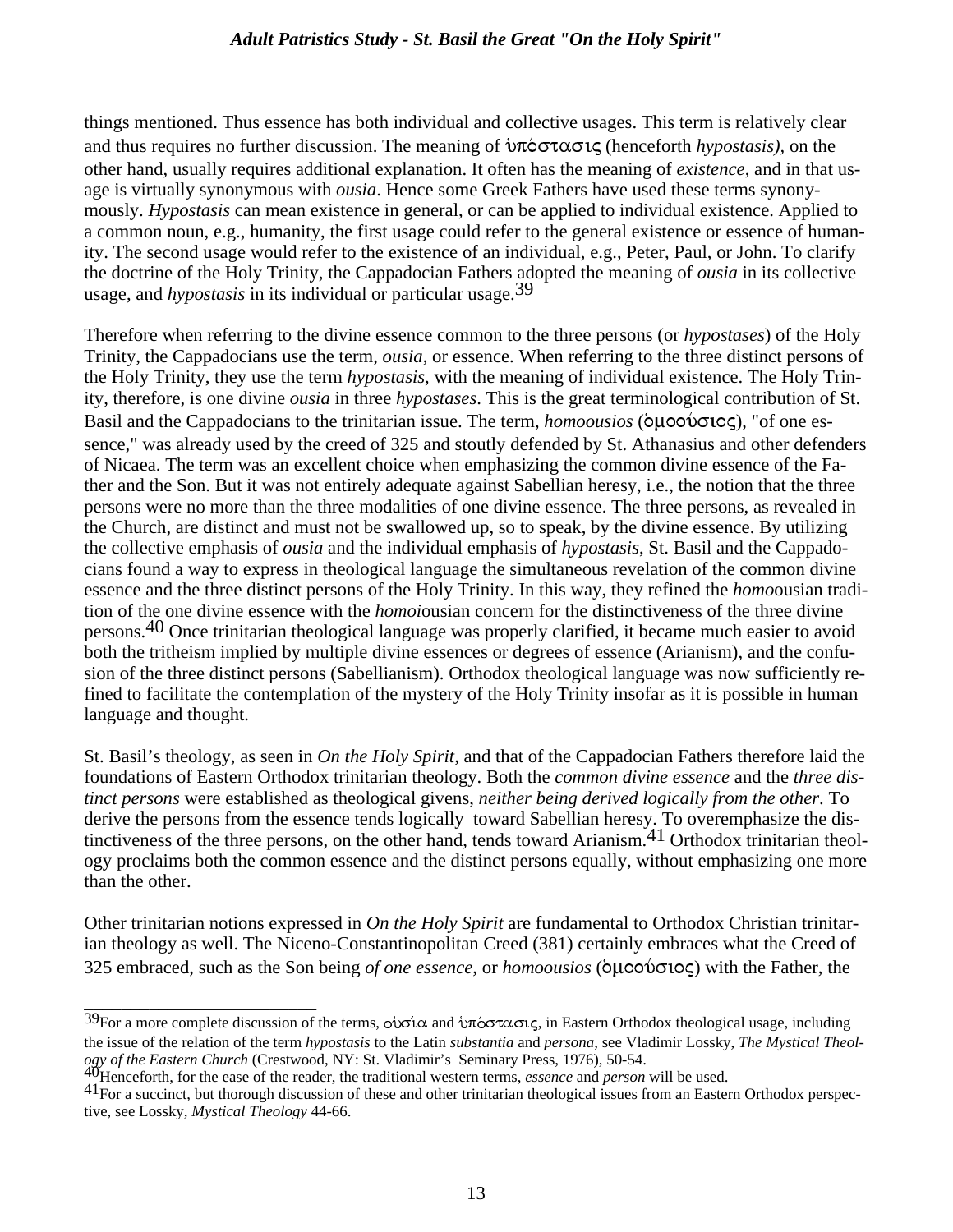things mentioned. Thus essence has both individual and collective usages. This term is relatively clear and thus requires no further discussion. The meaning of  $\phi \pi \acute{\circ} \sigma \tau \alpha \sigma \iota \varsigma$  (henceforth *hypostasis*), on the other hand, usually requires additional explanation. It often has the meaning of *existence*, and in that usage is virtually synonymous with *ousia*. Hence some Greek Fathers have used these terms synonymously. *Hypostasis* can mean existence in general, or can be applied to individual existence. Applied to a common noun, e.g., humanity, the first usage could refer to the general existence or essence of humanity. The second usage would refer to the existence of an individual, e.g., Peter, Paul, or John. To clarify the doctrine of the Holy Trinity, the Cappadocian Fathers adopted the meaning of *ousia* in its collective usage, and *hypostasis* in its individual or particular usage.39

Therefore when referring to the divine essence common to the three persons (or *hypostases*) of the Holy Trinity, the Cappadocians use the term, *ousia*, or essence. When referring to the three distinct persons of the Holy Trinity, they use the term *hypostasis*, with the meaning of individual existence. The Holy Trinity, therefore, is one divine *ousia* in three *hypostases*. This is the great terminological contribution of St. Basil and the Cappadocians to the trinitarian issue. The term, *homoousios* (δμοσύσιος), "of one essence," was already used by the creed of 325 and stoutly defended by St. Athanasius and other defenders of Nicaea. The term was an excellent choice when emphasizing the common divine essence of the Father and the Son. But it was not entirely adequate against Sabellian heresy, i.e., the notion that the three persons were no more than the three modalities of one divine essence. The three persons, as revealed in the Church, are distinct and must not be swallowed up, so to speak, by the divine essence. By utilizing the collective emphasis of *ousia* and the individual emphasis of *hypostasis*, St. Basil and the Cappadocians found a way to express in theological language the simultaneous revelation of the common divine essence and the three distinct persons of the Holy Trinity. In this way, they refined the *homo*ousian tradition of the one divine essence with the *homoi*ousian concern for the distinctiveness of the three divine persons.40 Once trinitarian theological language was properly clarified, it became much easier to avoid both the tritheism implied by multiple divine essences or degrees of essence (Arianism), and the confusion of the three distinct persons (Sabellianism). Orthodox theological language was now sufficiently refined to facilitate the contemplation of the mystery of the Holy Trinity insofar as it is possible in human language and thought.

St. Basil's theology, as seen in *On the Holy Spirit,* and that of the Cappadocian Fathers therefore laid the foundations of Eastern Orthodox trinitarian theology. Both the *common divine essence* and the *three distinct persons* were established as theological givens, *neither being derived logically from the other*. To derive the persons from the essence tends logically toward Sabellian heresy. To overemphasize the distinctiveness of the three persons, on the other hand, tends toward Arianism.<sup>41</sup> Orthodox trinitarian theology proclaims both the common essence and the distinct persons equally, without emphasizing one more than the other.

Other trinitarian notions expressed in *On the Holy Spirit* are fundamental to Orthodox Christian trinitarian theology as well. The Niceno-Constantinopolitan Creed (381) certainly embraces what the Creed of 325 embraced, such as the Son being *of one essence*, or *homoousios* (δμοσύσιος) with the Father, the

<sup>&</sup>lt;sup>39</sup>For a more complete discussion of the terms, ουσία and υπόστασις, in Eastern Orthodox theological usage, including the issue of the relation of the term *hypostasis* to the Latin *substantia* and *persona*, see Vladimir Lossky, *The Mystical Theology of the Eastern Church* (Crestwood, NY: St. Vladimir's Seminary Press, 1976), 50-54.

<sup>40</sup>Henceforth, for the ease of the reader, the traditional western terms, *essence* and *person* will be used.

 $41$ For a succinct, but thorough discussion of these and other trinitarian theological issues from an Eastern Orthodox perspective, see Lossky, *Mystical Theology* 44-66.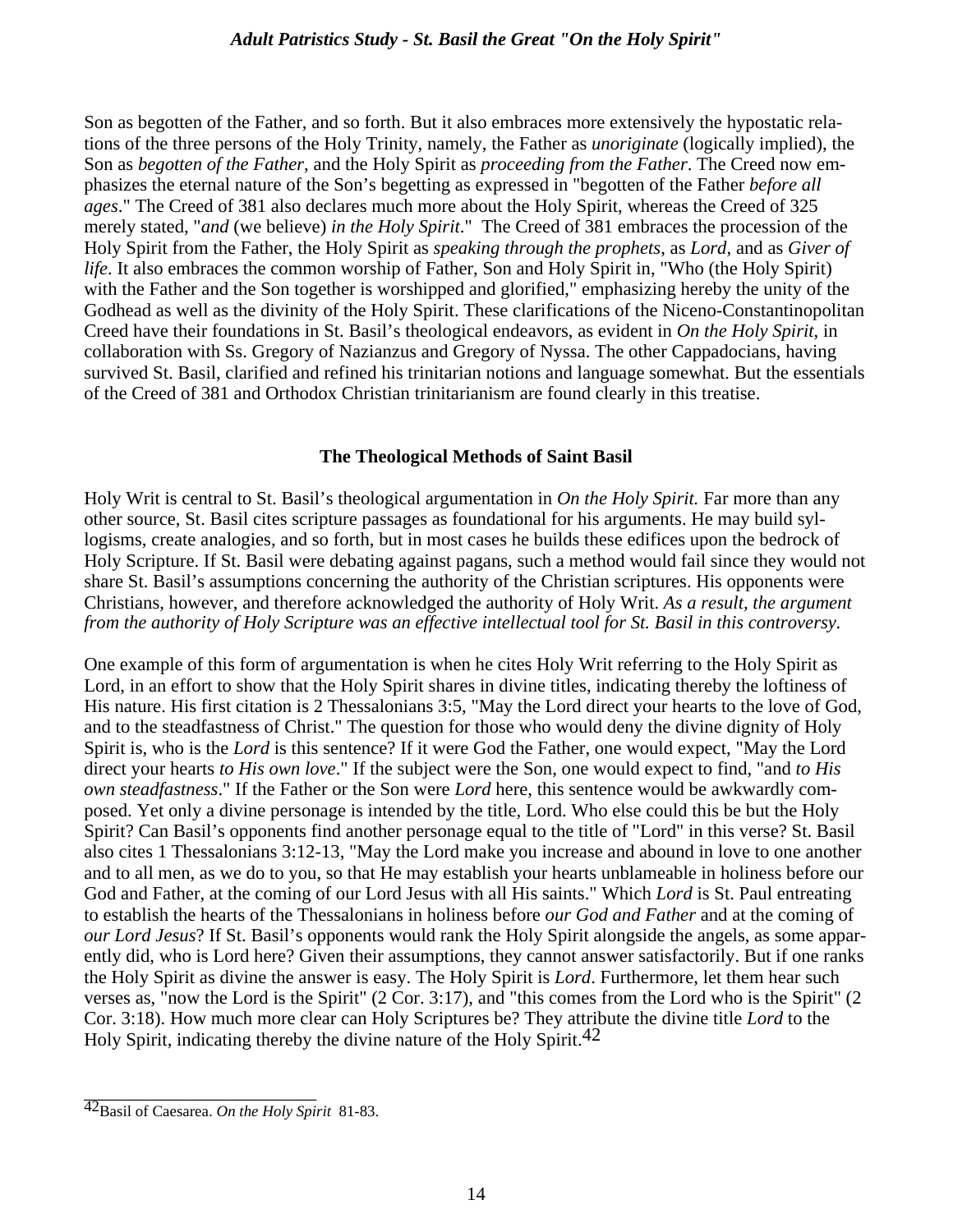Son as begotten of the Father, and so forth. But it also embraces more extensively the hypostatic relations of the three persons of the Holy Trinity, namely, the Father as *unoriginate* (logically implied), the Son as *begotten of the Father*, and the Holy Spirit as *proceeding from the Father*. The Creed now emphasizes the eternal nature of the Son's begetting as expressed in "begotten of the Father *before all ages*." The Creed of 381 also declares much more about the Holy Spirit, whereas the Creed of 325 merely stated, "*and* (we believe) *in the Holy Spirit*." The Creed of 381 embraces the procession of the Holy Spirit from the Father, the Holy Spirit as *speaking through the prophets*, as *Lord*, and as *Giver of life*. It also embraces the common worship of Father, Son and Holy Spirit in, "Who (the Holy Spirit) with the Father and the Son together is worshipped and glorified," emphasizing hereby the unity of the Godhead as well as the divinity of the Holy Spirit. These clarifications of the Niceno-Constantinopolitan Creed have their foundations in St. Basil's theological endeavors, as evident in *On the Holy Spirit*, in collaboration with Ss. Gregory of Nazianzus and Gregory of Nyssa. The other Cappadocians, having survived St. Basil, clarified and refined his trinitarian notions and language somewhat. But the essentials of the Creed of 381 and Orthodox Christian trinitarianism are found clearly in this treatise.

# **The Theological Methods of Saint Basil**

Holy Writ is central to St. Basil's theological argumentation in *On the Holy Spirit.* Far more than any other source, St. Basil cites scripture passages as foundational for his arguments. He may build syllogisms, create analogies, and so forth, but in most cases he builds these edifices upon the bedrock of Holy Scripture. If St. Basil were debating against pagans, such a method would fail since they would not share St. Basil's assumptions concerning the authority of the Christian scriptures. His opponents were Christians, however, and therefore acknowledged the authority of Holy Writ. *As a result, the argument from the authority of Holy Scripture was an effective intellectual tool for St. Basil in this controversy.*

One example of this form of argumentation is when he cites Holy Writ referring to the Holy Spirit as Lord, in an effort to show that the Holy Spirit shares in divine titles, indicating thereby the loftiness of His nature. His first citation is 2 Thessalonians 3:5, "May the Lord direct your hearts to the love of God, and to the steadfastness of Christ." The question for those who would deny the divine dignity of Holy Spirit is, who is the *Lord* is this sentence? If it were God the Father, one would expect, "May the Lord direct your hearts *to His own love*." If the subject were the Son, one would expect to find, "and *to His own steadfastness*." If the Father or the Son were *Lord* here, this sentence would be awkwardly composed. Yet only a divine personage is intended by the title, Lord. Who else could this be but the Holy Spirit? Can Basil's opponents find another personage equal to the title of "Lord" in this verse? St. Basil also cites 1 Thessalonians 3:12-13, "May the Lord make you increase and abound in love to one another and to all men, as we do to you, so that He may establish your hearts unblameable in holiness before our God and Father, at the coming of our Lord Jesus with all His saints." Which *Lord* is St. Paul entreating to establish the hearts of the Thessalonians in holiness before *our God and Father* and at the coming of *our Lord Jesus*? If St. Basil's opponents would rank the Holy Spirit alongside the angels, as some apparently did, who is Lord here? Given their assumptions, they cannot answer satisfactorily. But if one ranks the Holy Spirit as divine the answer is easy. The Holy Spirit is *Lord*. Furthermore, let them hear such verses as, "now the Lord is the Spirit" (2 Cor. 3:17), and "this comes from the Lord who is the Spirit" (2 Cor. 3:18). How much more clear can Holy Scriptures be? They attribute the divine title *Lord* to the Holy Spirit, indicating thereby the divine nature of the Holy Spirit.42

<sup>42</sup>Basil of Caesarea. *On the Holy Spirit* 81-83. \_\_\_\_\_\_\_\_\_\_\_\_\_\_\_\_\_\_\_\_\_\_\_\_\_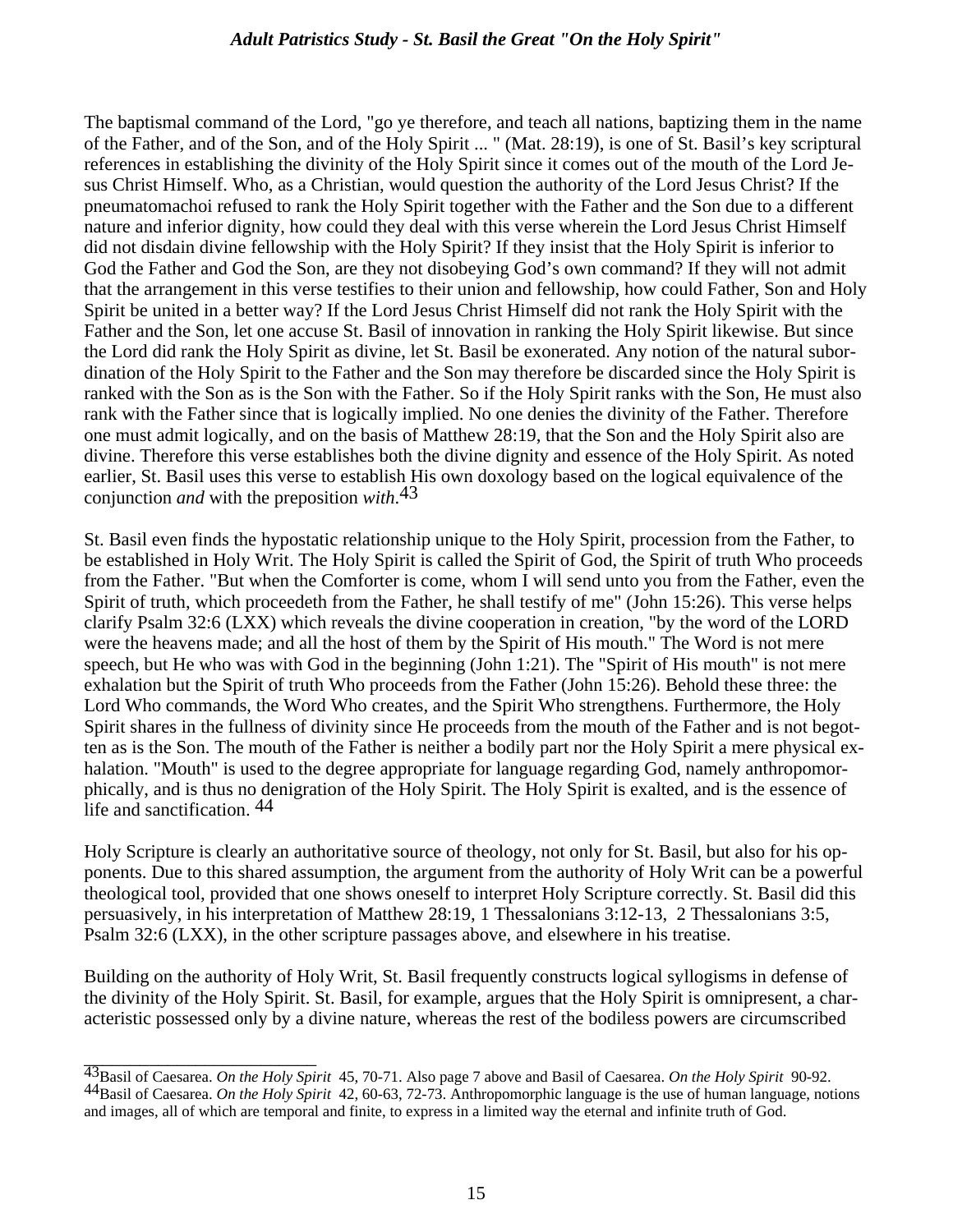The baptismal command of the Lord, "go ye therefore, and teach all nations, baptizing them in the name of the Father, and of the Son, and of the Holy Spirit ... " (Mat. 28:19), is one of St. Basil's key scriptural references in establishing the divinity of the Holy Spirit since it comes out of the mouth of the Lord Jesus Christ Himself. Who, as a Christian, would question the authority of the Lord Jesus Christ? If the pneumatomachoi refused to rank the Holy Spirit together with the Father and the Son due to a different nature and inferior dignity, how could they deal with this verse wherein the Lord Jesus Christ Himself did not disdain divine fellowship with the Holy Spirit? If they insist that the Holy Spirit is inferior to God the Father and God the Son, are they not disobeying God's own command? If they will not admit that the arrangement in this verse testifies to their union and fellowship, how could Father, Son and Holy Spirit be united in a better way? If the Lord Jesus Christ Himself did not rank the Holy Spirit with the Father and the Son, let one accuse St. Basil of innovation in ranking the Holy Spirit likewise. But since the Lord did rank the Holy Spirit as divine, let St. Basil be exonerated. Any notion of the natural subordination of the Holy Spirit to the Father and the Son may therefore be discarded since the Holy Spirit is ranked with the Son as is the Son with the Father. So if the Holy Spirit ranks with the Son, He must also rank with the Father since that is logically implied. No one denies the divinity of the Father. Therefore one must admit logically, and on the basis of Matthew 28:19, that the Son and the Holy Spirit also are divine. Therefore this verse establishes both the divine dignity and essence of the Holy Spirit. As noted earlier, St. Basil uses this verse to establish His own doxology based on the logical equivalence of the conjunction *and* with the preposition *with*.43

St. Basil even finds the hypostatic relationship unique to the Holy Spirit, procession from the Father, to be established in Holy Writ. The Holy Spirit is called the Spirit of God, the Spirit of truth Who proceeds from the Father. "But when the Comforter is come, whom I will send unto you from the Father, even the Spirit of truth, which proceedeth from the Father, he shall testify of me" (John 15:26). This verse helps clarify Psalm 32:6 (LXX) which reveals the divine cooperation in creation, "by the word of the LORD were the heavens made; and all the host of them by the Spirit of His mouth." The Word is not mere speech, but He who was with God in the beginning (John 1:21). The "Spirit of His mouth" is not mere exhalation but the Spirit of truth Who proceeds from the Father (John 15:26). Behold these three: the Lord Who commands, the Word Who creates, and the Spirit Who strengthens. Furthermore, the Holy Spirit shares in the fullness of divinity since He proceeds from the mouth of the Father and is not begotten as is the Son. The mouth of the Father is neither a bodily part nor the Holy Spirit a mere physical exhalation. "Mouth" is used to the degree appropriate for language regarding God, namely anthropomorphically, and is thus no denigration of the Holy Spirit. The Holy Spirit is exalted, and is the essence of life and sanctification.  $44$ 

Holy Scripture is clearly an authoritative source of theology, not only for St. Basil, but also for his opponents. Due to this shared assumption, the argument from the authority of Holy Writ can be a powerful theological tool, provided that one shows oneself to interpret Holy Scripture correctly. St. Basil did this persuasively, in his interpretation of Matthew 28:19, 1 Thessalonians 3:12-13, 2 Thessalonians 3:5, Psalm 32:6 (LXX), in the other scripture passages above, and elsewhere in his treatise.

Building on the authority of Holy Writ, St. Basil frequently constructs logical syllogisms in defense of the divinity of the Holy Spirit. St. Basil, for example, argues that the Holy Spirit is omnipresent, a characteristic possessed only by a divine nature, whereas the rest of the bodiless powers are circumscribed

<sup>43</sup>Basil of Caesarea. *On the Holy Spirit* 45, 70-71. Also page 7 above and Basil of Caesarea. *On the Holy Spirit* 90-92. 44Basil of Caesarea. *On the Holy Spirit* 42, 60-63, 72-73. Anthropomorphic language is the use of human language, notions and images, all of which are temporal and finite, to express in a limited way the eternal and infinite truth of God. \_\_\_\_\_\_\_\_\_\_\_\_\_\_\_\_\_\_\_\_\_\_\_\_\_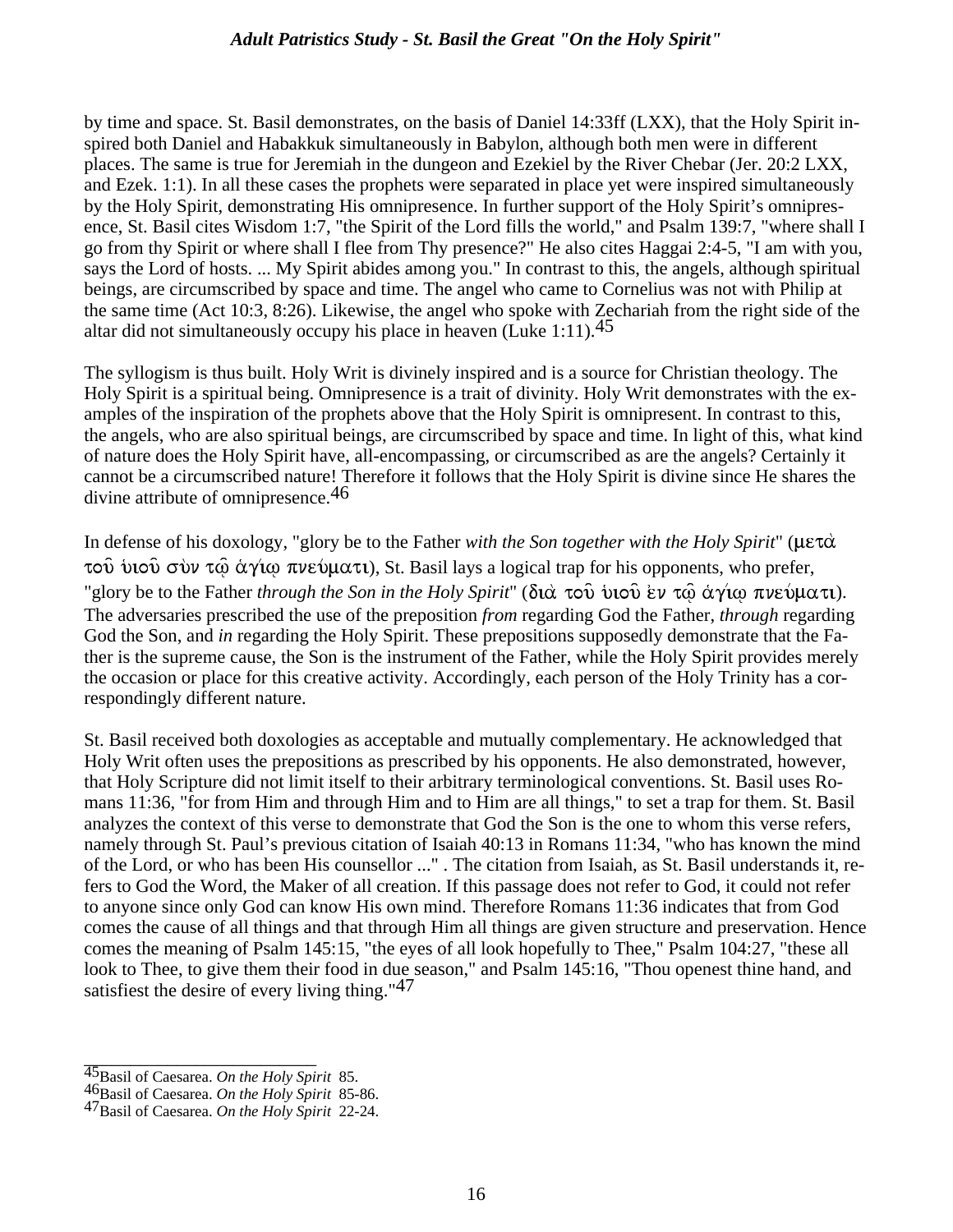by time and space. St. Basil demonstrates, on the basis of Daniel 14:33ff (LXX), that the Holy Spirit inspired both Daniel and Habakkuk simultaneously in Babylon, although both men were in different places. The same is true for Jeremiah in the dungeon and Ezekiel by the River Chebar (Jer. 20:2 LXX, and Ezek. 1:1). In all these cases the prophets were separated in place yet were inspired simultaneously by the Holy Spirit, demonstrating His omnipresence. In further support of the Holy Spirit's omnipresence, St. Basil cites Wisdom 1:7, "the Spirit of the Lord fills the world," and Psalm 139:7, "where shall I go from thy Spirit or where shall I flee from Thy presence?" He also cites Haggai 2:4-5, "I am with you, says the Lord of hosts. ... My Spirit abides among you." In contrast to this, the angels, although spiritual beings, are circumscribed by space and time. The angel who came to Cornelius was not with Philip at the same time (Act 10:3, 8:26). Likewise, the angel who spoke with Zechariah from the right side of the altar did not simultaneously occupy his place in heaven (Luke 1:11).<sup>45</sup>

The syllogism is thus built. Holy Writ is divinely inspired and is a source for Christian theology. The Holy Spirit is a spiritual being. Omnipresence is a trait of divinity. Holy Writ demonstrates with the examples of the inspiration of the prophets above that the Holy Spirit is omnipresent. In contrast to this, the angels, who are also spiritual beings, are circumscribed by space and time. In light of this, what kind of nature does the Holy Spirit have, all-encompassing, or circumscribed as are the angels? Certainly it cannot be a circumscribed nature! Therefore it follows that the Holy Spirit is divine since He shares the divine attribute of omnipresence.46

In defense of his doxology, "glory be to the Father *with the Son together with the Holy Spirit*" ( τοῦ ὑιοῦ σὺν τῷ ἁγίῳ πνεύματι), St. Basil lays a logical trap for his opponents, who prefer, "glory be to the Father *through the Son in the Holy Spirit*" (διά τοῦ ὑιοῦ Ἐν τῷ ἁγίῳ πνεύματι). The adversaries prescribed the use of the preposition *from* regarding God the Father, *through* regarding God the Son, and *in* regarding the Holy Spirit. These prepositions supposedly demonstrate that the Father is the supreme cause, the Son is the instrument of the Father, while the Holy Spirit provides merely the occasion or place for this creative activity. Accordingly, each person of the Holy Trinity has a correspondingly different nature.

St. Basil received both doxologies as acceptable and mutually complementary. He acknowledged that Holy Writ often uses the prepositions as prescribed by his opponents. He also demonstrated, however, that Holy Scripture did not limit itself to their arbitrary terminological conventions. St. Basil uses Romans 11:36, "for from Him and through Him and to Him are all things," to set a trap for them. St. Basil analyzes the context of this verse to demonstrate that God the Son is the one to whom this verse refers, namely through St. Paul's previous citation of Isaiah 40:13 in Romans 11:34, "who has known the mind of the Lord, or who has been His counsellor ..." . The citation from Isaiah, as St. Basil understands it, refers to God the Word, the Maker of all creation. If this passage does not refer to God, it could not refer to anyone since only God can know His own mind. Therefore Romans 11:36 indicates that from God comes the cause of all things and that through Him all things are given structure and preservation. Hence comes the meaning of Psalm 145:15, "the eyes of all look hopefully to Thee," Psalm 104:27, "these all look to Thee, to give them their food in due season," and Psalm 145:16, "Thou openest thine hand, and satisfiest the desire of every living thing."<sup>47</sup>

<sup>45</sup>Basil of Caesarea. *On the Holy Spirit* 85. \_\_\_\_\_\_\_\_\_\_\_\_\_\_\_\_\_\_\_\_\_\_\_\_\_

<sup>46</sup>Basil of Caesarea. *On the Holy Spirit* 85-86.

<sup>47</sup>Basil of Caesarea. *On the Holy Spirit* 22-24.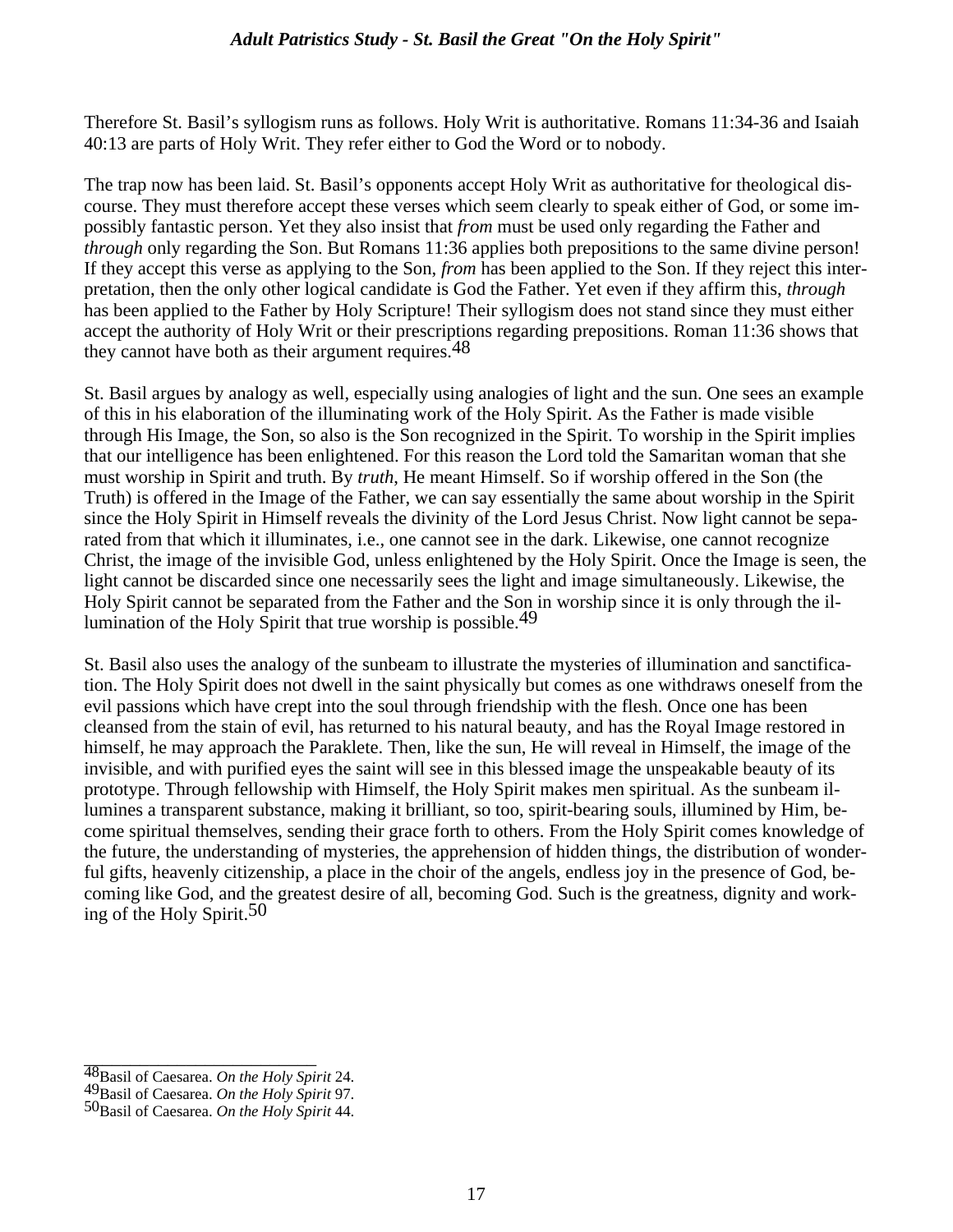Therefore St. Basil's syllogism runs as follows. Holy Writ is authoritative. Romans 11:34-36 and Isaiah 40:13 are parts of Holy Writ. They refer either to God the Word or to nobody.

The trap now has been laid. St. Basil's opponents accept Holy Writ as authoritative for theological discourse. They must therefore accept these verses which seem clearly to speak either of God, or some impossibly fantastic person. Yet they also insist that *from* must be used only regarding the Father and *through* only regarding the Son. But Romans 11:36 applies both prepositions to the same divine person! If they accept this verse as applying to the Son, *from* has been applied to the Son. If they reject this interpretation, then the only other logical candidate is God the Father. Yet even if they affirm this, *through* has been applied to the Father by Holy Scripture! Their syllogism does not stand since they must either accept the authority of Holy Writ or their prescriptions regarding prepositions. Roman 11:36 shows that they cannot have both as their argument requires.  $48$ 

St. Basil argues by analogy as well, especially using analogies of light and the sun. One sees an example of this in his elaboration of the illuminating work of the Holy Spirit. As the Father is made visible through His Image, the Son, so also is the Son recognized in the Spirit. To worship in the Spirit implies that our intelligence has been enlightened. For this reason the Lord told the Samaritan woman that she must worship in Spirit and truth. By *truth*, He meant Himself. So if worship offered in the Son (the Truth) is offered in the Image of the Father, we can say essentially the same about worship in the Spirit since the Holy Spirit in Himself reveals the divinity of the Lord Jesus Christ. Now light cannot be separated from that which it illuminates, i.e., one cannot see in the dark. Likewise, one cannot recognize Christ, the image of the invisible God, unless enlightened by the Holy Spirit. Once the Image is seen, the light cannot be discarded since one necessarily sees the light and image simultaneously. Likewise, the Holy Spirit cannot be separated from the Father and the Son in worship since it is only through the illumination of the Holy Spirit that true worship is possible.49

St. Basil also uses the analogy of the sunbeam to illustrate the mysteries of illumination and sanctification. The Holy Spirit does not dwell in the saint physically but comes as one withdraws oneself from the evil passions which have crept into the soul through friendship with the flesh. Once one has been cleansed from the stain of evil, has returned to his natural beauty, and has the Royal Image restored in himself, he may approach the Paraklete. Then, like the sun, He will reveal in Himself, the image of the invisible, and with purified eyes the saint will see in this blessed image the unspeakable beauty of its prototype. Through fellowship with Himself, the Holy Spirit makes men spiritual. As the sunbeam illumines a transparent substance, making it brilliant, so too, spirit-bearing souls, illumined by Him, become spiritual themselves, sending their grace forth to others. From the Holy Spirit comes knowledge of the future, the understanding of mysteries, the apprehension of hidden things, the distribution of wonderful gifts, heavenly citizenship, a place in the choir of the angels, endless joy in the presence of God, becoming like God, and the greatest desire of all, becoming God. Such is the greatness, dignity and working of the Holy Spirit.50

<sup>48</sup>Basil of Caesarea. *On the Holy Spirit* 24. \_\_\_\_\_\_\_\_\_\_\_\_\_\_\_\_\_\_\_\_\_\_\_\_\_

<sup>49</sup>Basil of Caesarea. *On the Holy Spirit* 97.

<sup>50</sup>Basil of Caesarea. *On the Holy Spirit* 44.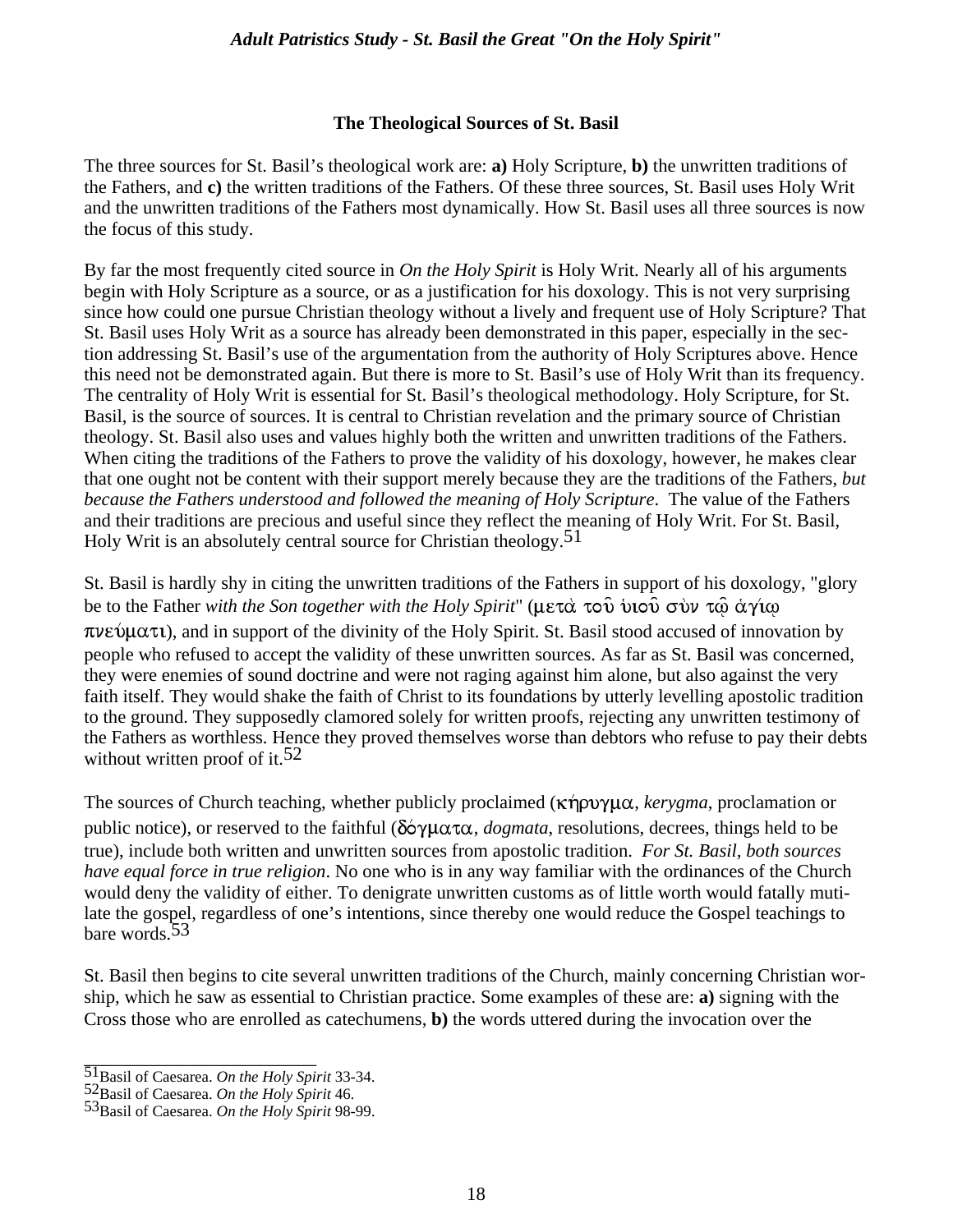# **The Theological Sources of St. Basil**

The three sources for St. Basil's theological work are: **a)** Holy Scripture, **b)** the unwritten traditions of the Fathers, and **c)** the written traditions of the Fathers. Of these three sources, St. Basil uses Holy Writ and the unwritten traditions of the Fathers most dynamically. How St. Basil uses all three sources is now the focus of this study.

By far the most frequently cited source in *On the Holy Spirit* is Holy Writ. Nearly all of his arguments begin with Holy Scripture as a source, or as a justification for his doxology. This is not very surprising since how could one pursue Christian theology without a lively and frequent use of Holy Scripture? That St. Basil uses Holy Writ as a source has already been demonstrated in this paper, especially in the section addressing St. Basil's use of the argumentation from the authority of Holy Scriptures above. Hence this need not be demonstrated again. But there is more to St. Basil's use of Holy Writ than its frequency. The centrality of Holy Writ is essential for St. Basil's theological methodology. Holy Scripture, for St. Basil, is the source of sources. It is central to Christian revelation and the primary source of Christian theology. St. Basil also uses and values highly both the written and unwritten traditions of the Fathers. When citing the traditions of the Fathers to prove the validity of his doxology, however, he makes clear that one ought not be content with their support merely because they are the traditions of the Fathers, *but because the Fathers understood and followed the meaning of Holy Scripture*. The value of the Fathers and their traditions are precious and useful since they reflect the meaning of Holy Writ. For St. Basil, Holy Writ is an absolutely central source for Christian theology.<sup>51</sup>

St. Basil is hardly shy in citing the unwritten traditions of the Fathers in support of his doxology, "glory be to the Father *with the Son together with the Holy Spirit*" (μετά τοῦ ὑιοῦ σὺν τῷ ἁγίῳ  $\pi\nu\epsilon\psi\mu\alpha\tau\iota$ ), and in support of the divinity of the Holy Spirit. St. Basil stood accused of innovation by people who refused to accept the validity of these unwritten sources. As far as St. Basil was concerned, they were enemies of sound doctrine and were not raging against him alone, but also against the very faith itself. They would shake the faith of Christ to its foundations by utterly levelling apostolic tradition to the ground. They supposedly clamored solely for written proofs, rejecting any unwritten testimony of the Fathers as worthless. Hence they proved themselves worse than debtors who refuse to pay their debts without written proof of it.<sup>52</sup>

The sources of Church teaching, whether publicly proclaimed (κήρυγμα, *kerygma*, proclamation or public notice), or reserved to the faithful (δόγματα, *dogmata*, resolutions, decrees, things held to be true), include both written and unwritten sources from apostolic tradition. *For St. Basil, both sources have equal force in true religion*. No one who is in any way familiar with the ordinances of the Church would deny the validity of either. To denigrate unwritten customs as of little worth would fatally mutilate the gospel, regardless of one's intentions, since thereby one would reduce the Gospel teachings to bare words.53

St. Basil then begins to cite several unwritten traditions of the Church, mainly concerning Christian worship, which he saw as essential to Christian practice. Some examples of these are: **a)** signing with the Cross those who are enrolled as catechumens, **b)** the words uttered during the invocation over the

<sup>51</sup>Basil of Caesarea. *On the Holy Spirit* 33-34. \_\_\_\_\_\_\_\_\_\_\_\_\_\_\_\_\_\_\_\_\_\_\_\_\_

<sup>52</sup>Basil of Caesarea. *On the Holy Spirit* 46.

<sup>53</sup>Basil of Caesarea. *On the Holy Spirit* 98-99.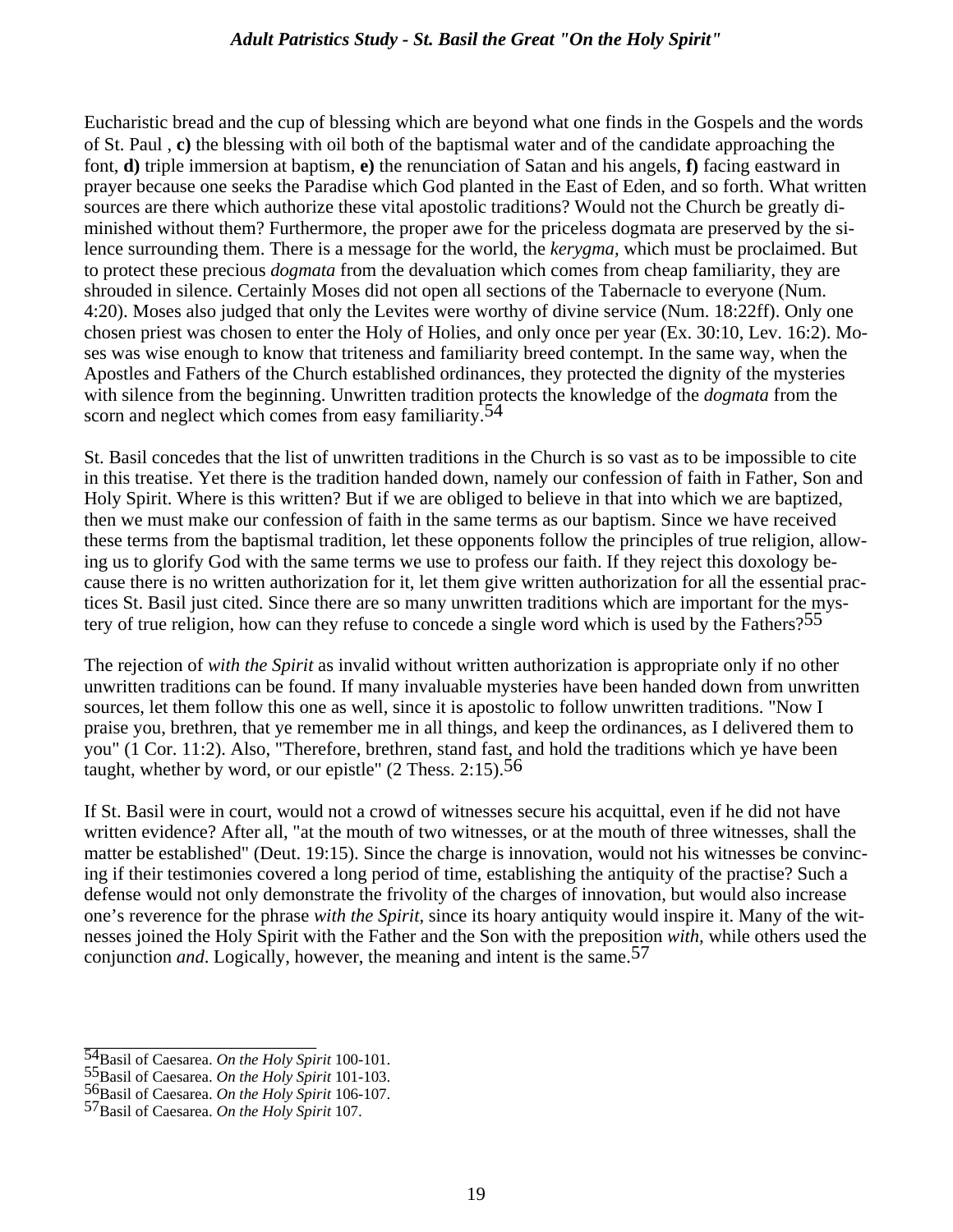Eucharistic bread and the cup of blessing which are beyond what one finds in the Gospels and the words of St. Paul , **c)** the blessing with oil both of the baptismal water and of the candidate approaching the font, **d)** triple immersion at baptism, **e)** the renunciation of Satan and his angels, **f)** facing eastward in prayer because one seeks the Paradise which God planted in the East of Eden, and so forth. What written sources are there which authorize these vital apostolic traditions? Would not the Church be greatly diminished without them? Furthermore, the proper awe for the priceless dogmata are preserved by the silence surrounding them. There is a message for the world, the *kerygma,* which must be proclaimed. But to protect these precious *dogmata* from the devaluation which comes from cheap familiarity, they are shrouded in silence. Certainly Moses did not open all sections of the Tabernacle to everyone (Num. 4:20). Moses also judged that only the Levites were worthy of divine service (Num. 18:22ff). Only one chosen priest was chosen to enter the Holy of Holies, and only once per year (Ex. 30:10, Lev. 16:2). Moses was wise enough to know that triteness and familiarity breed contempt. In the same way, when the Apostles and Fathers of the Church established ordinances, they protected the dignity of the mysteries with silence from the beginning. Unwritten tradition protects the knowledge of the *dogmata* from the scorn and neglect which comes from easy familiarity.<sup>54</sup>

St. Basil concedes that the list of unwritten traditions in the Church is so vast as to be impossible to cite in this treatise. Yet there is the tradition handed down, namely our confession of faith in Father, Son and Holy Spirit. Where is this written? But if we are obliged to believe in that into which we are baptized, then we must make our confession of faith in the same terms as our baptism. Since we have received these terms from the baptismal tradition, let these opponents follow the principles of true religion, allowing us to glorify God with the same terms we use to profess our faith. If they reject this doxology because there is no written authorization for it, let them give written authorization for all the essential practices St. Basil just cited. Since there are so many unwritten traditions which are important for the mystery of true religion, how can they refuse to concede a single word which is used by the Fathers?<sup>55</sup>

The rejection of *with the Spirit* as invalid without written authorization is appropriate only if no other unwritten traditions can be found. If many invaluable mysteries have been handed down from unwritten sources, let them follow this one as well, since it is apostolic to follow unwritten traditions. "Now I praise you, brethren, that ye remember me in all things, and keep the ordinances, as I delivered them to you" (1 Cor. 11:2). Also, "Therefore, brethren, stand fast, and hold the traditions which ye have been taught, whether by word, or our epistle"  $(2 \text{ Thess. } 2:15)$ .<sup>56</sup>

If St. Basil were in court, would not a crowd of witnesses secure his acquittal, even if he did not have written evidence? After all, "at the mouth of two witnesses, or at the mouth of three witnesses, shall the matter be established" (Deut. 19:15). Since the charge is innovation, would not his witnesses be convincing if their testimonies covered a long period of time, establishing the antiquity of the practise? Such a defense would not only demonstrate the frivolity of the charges of innovation, but would also increase one's reverence for the phrase *with the Spirit*, since its hoary antiquity would inspire it. Many of the witnesses joined the Holy Spirit with the Father and the Son with the preposition *with*, while others used the conjunction *and*. Logically, however, the meaning and intent is the same.57

 $\overline{\phantom{a}}$  , which is a set of the set of the set of the set of the set of the set of the set of the set of the set of the set of the set of the set of the set of the set of the set of the set of the set of the set of th

<sup>54</sup>Basil of Caesarea. *On the Holy Spirit* 100-101.

<sup>55</sup>Basil of Caesarea. *On the Holy Spirit* 101-103.

<sup>56</sup>Basil of Caesarea. *On the Holy Spirit* 106-107.

<sup>57</sup>Basil of Caesarea. *On the Holy Spirit* 107.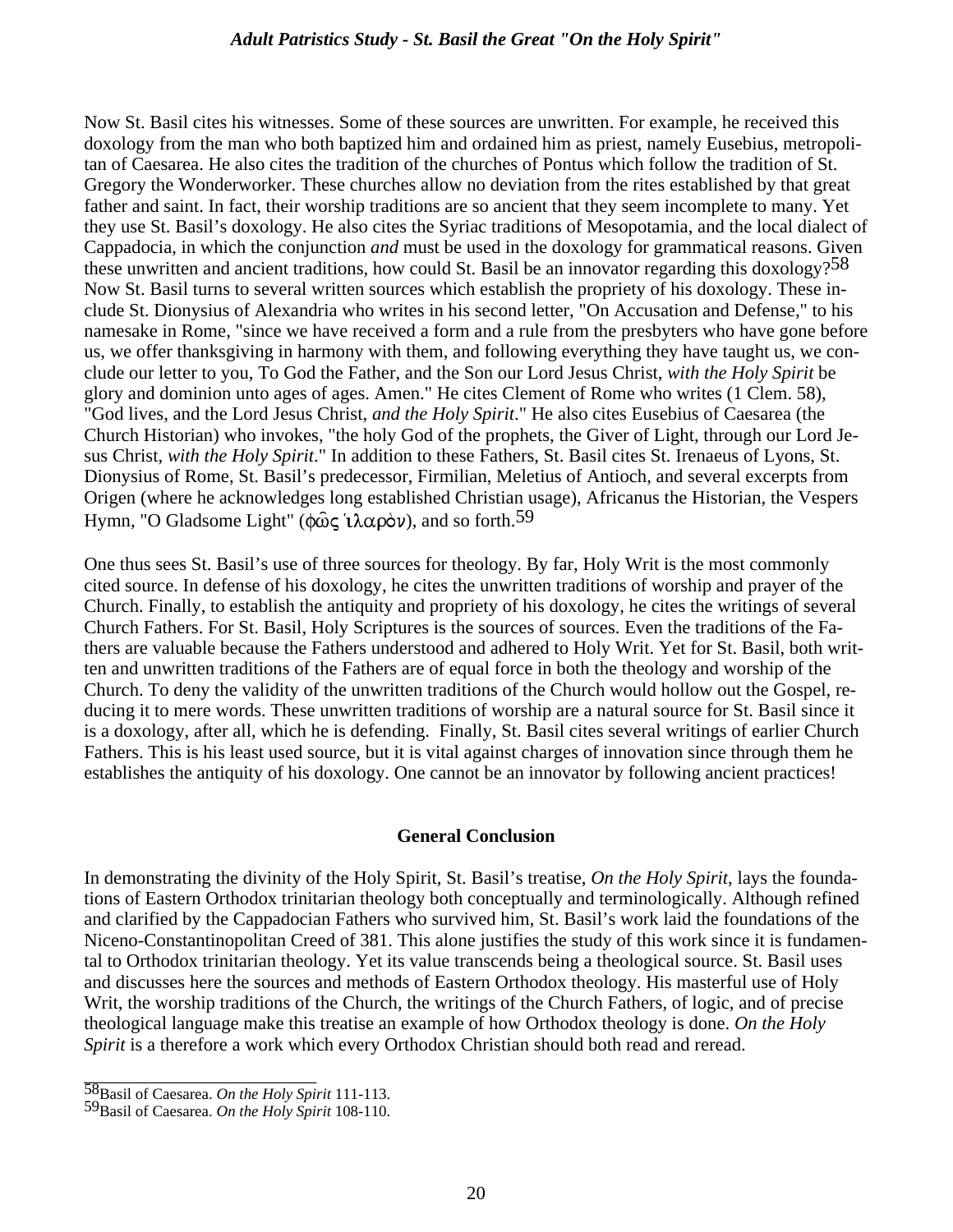Now St. Basil cites his witnesses. Some of these sources are unwritten. For example, he received this doxology from the man who both baptized him and ordained him as priest, namely Eusebius, metropolitan of Caesarea. He also cites the tradition of the churches of Pontus which follow the tradition of St. Gregory the Wonderworker. These churches allow no deviation from the rites established by that great father and saint. In fact, their worship traditions are so ancient that they seem incomplete to many. Yet they use St. Basil's doxology. He also cites the Syriac traditions of Mesopotamia, and the local dialect of Cappadocia, in which the conjunction *and* must be used in the doxology for grammatical reasons. Given these unwritten and ancient traditions, how could St. Basil be an innovator regarding this doxology?<sup>58</sup> Now St. Basil turns to several written sources which establish the propriety of his doxology. These include St. Dionysius of Alexandria who writes in his second letter, "On Accusation and Defense," to his namesake in Rome, "since we have received a form and a rule from the presbyters who have gone before us, we offer thanksgiving in harmony with them, and following everything they have taught us, we conclude our letter to you, To God the Father, and the Son our Lord Jesus Christ, *with the Holy Spirit* be glory and dominion unto ages of ages. Amen." He cites Clement of Rome who writes (1 Clem. 58), "God lives, and the Lord Jesus Christ, *and the Holy Spirit*." He also cites Eusebius of Caesarea (the Church Historian) who invokes, "the holy God of the prophets, the Giver of Light, through our Lord Jesus Christ, *with the Holy Spirit*." In addition to these Fathers, St. Basil cites St. Irenaeus of Lyons, St. Dionysius of Rome, St. Basil's predecessor, Firmilian, Meletius of Antioch, and several excerpts from Origen (where he acknowledges long established Christian usage), Africanus the Historian, the Vespers Hymn, "O Gladsome Light" (φώς 'ιλαρόν), and  $\hat{\omega}$ ς 'ιλαρόν), and so forth.<sup>59</sup>

One thus sees St. Basil's use of three sources for theology. By far, Holy Writ is the most commonly cited source. In defense of his doxology, he cites the unwritten traditions of worship and prayer of the Church. Finally, to establish the antiquity and propriety of his doxology, he cites the writings of several Church Fathers. For St. Basil, Holy Scriptures is the sources of sources. Even the traditions of the Fathers are valuable because the Fathers understood and adhered to Holy Writ. Yet for St. Basil, both written and unwritten traditions of the Fathers are of equal force in both the theology and worship of the Church. To deny the validity of the unwritten traditions of the Church would hollow out the Gospel, reducing it to mere words. These unwritten traditions of worship are a natural source for St. Basil since it is a doxology, after all, which he is defending. Finally, St. Basil cites several writings of earlier Church Fathers. This is his least used source, but it is vital against charges of innovation since through them he establishes the antiquity of his doxology. One cannot be an innovator by following ancient practices!

#### **General Conclusion**

In demonstrating the divinity of the Holy Spirit, St. Basil's treatise, *On the Holy Spirit*, lays the foundations of Eastern Orthodox trinitarian theology both conceptually and terminologically. Although refined and clarified by the Cappadocian Fathers who survived him, St. Basil's work laid the foundations of the Niceno-Constantinopolitan Creed of 381. This alone justifies the study of this work since it is fundamental to Orthodox trinitarian theology. Yet its value transcends being a theological source. St. Basil uses and discusses here the sources and methods of Eastern Orthodox theology. His masterful use of Holy Writ, the worship traditions of the Church, the writings of the Church Fathers, of logic, and of precise theological language make this treatise an example of how Orthodox theology is done. *On the Holy Spirit* is a therefore a work which every Orthodox Christian should both read and reread.

 $\overline{\phantom{a}}$  , and the same state of the same state  $\overline{\phantom{a}}$ 

<sup>58</sup>Basil of Caesarea. *On the Holy Spirit* 111-113.

<sup>59</sup>Basil of Caesarea. *On the Holy Spirit* 108-110.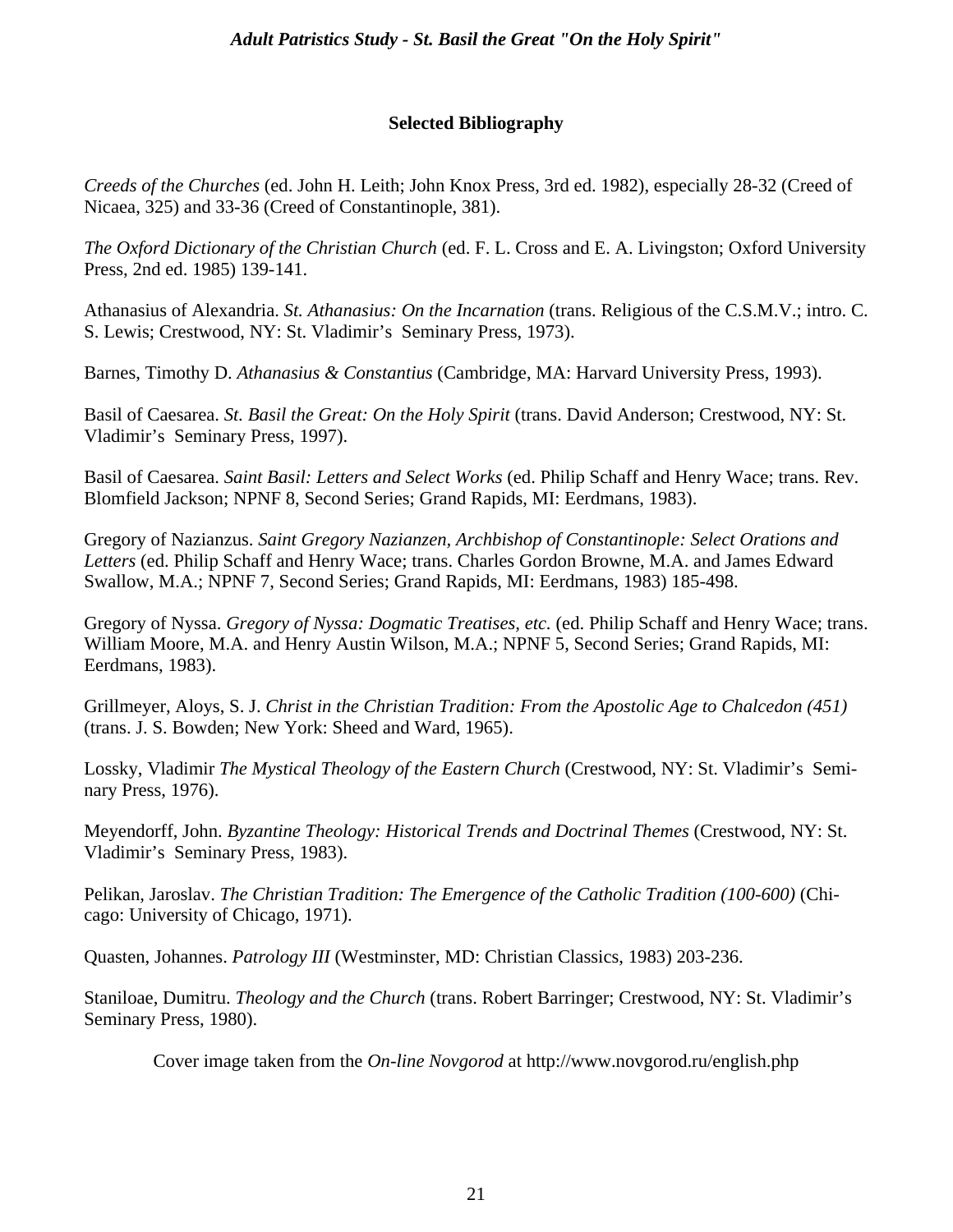# **Selected Bibliography**

*Creeds of the Churches* (ed. John H. Leith; John Knox Press, 3rd ed. 1982), especially 28-32 (Creed of Nicaea, 325) and 33-36 (Creed of Constantinople, 381).

*The Oxford Dictionary of the Christian Church* (ed. F. L. Cross and E. A. Livingston; Oxford University Press, 2nd ed. 1985) 139-141.

Athanasius of Alexandria. *St. Athanasius: On the Incarnation* (trans. Religious of the C.S.M.V.; intro. C. S. Lewis; Crestwood, NY: St. Vladimir's Seminary Press, 1973).

Barnes, Timothy D. *Athanasius & Constantius* (Cambridge, MA: Harvard University Press, 1993).

Basil of Caesarea. *St. Basil the Great: On the Holy Spirit* (trans. David Anderson; Crestwood, NY: St. Vladimir's Seminary Press, 1997).

Basil of Caesarea. *Saint Basil: Letters and Select Works* (ed. Philip Schaff and Henry Wace; trans. Rev. Blomfield Jackson; NPNF 8, Second Series; Grand Rapids, MI: Eerdmans, 1983).

Gregory of Nazianzus. *Saint Gregory Nazianzen, Archbishop of Constantinople: Select Orations and Letters* (ed. Philip Schaff and Henry Wace; trans. Charles Gordon Browne, M.A. and James Edward Swallow, M.A.; NPNF 7, Second Series; Grand Rapids, MI: Eerdmans, 1983) 185-498.

Gregory of Nyssa. *Gregory of Nyssa: Dogmatic Treatises, etc.* (ed. Philip Schaff and Henry Wace; trans. William Moore, M.A. and Henry Austin Wilson, M.A.; NPNF 5, Second Series; Grand Rapids, MI: Eerdmans, 1983).

Grillmeyer, Aloys, S. J. *Christ in the Christian Tradition: From the Apostolic Age to Chalcedon (451)* (trans. J. S. Bowden; New York: Sheed and Ward, 1965).

Lossky, Vladimir *The Mystical Theology of the Eastern Church* (Crestwood, NY: St. Vladimir's Seminary Press, 1976).

Meyendorff, John. *Byzantine Theology: Historical Trends and Doctrinal Themes* (Crestwood, NY: St. Vladimir's Seminary Press, 1983).

Pelikan, Jaroslav. *The Christian Tradition: The Emergence of the Catholic Tradition (100-600)* (Chicago: University of Chicago, 1971).

Quasten, Johannes. *Patrology III* (Westminster, MD: Christian Classics, 1983) 203-236.

Staniloae, Dumitru. *Theology and the Church* (trans. Robert Barringer; Crestwood, NY: St. Vladimir's Seminary Press, 1980).

Cover image taken from the *On-line Novgorod* at http://www.novgorod.ru/english.php